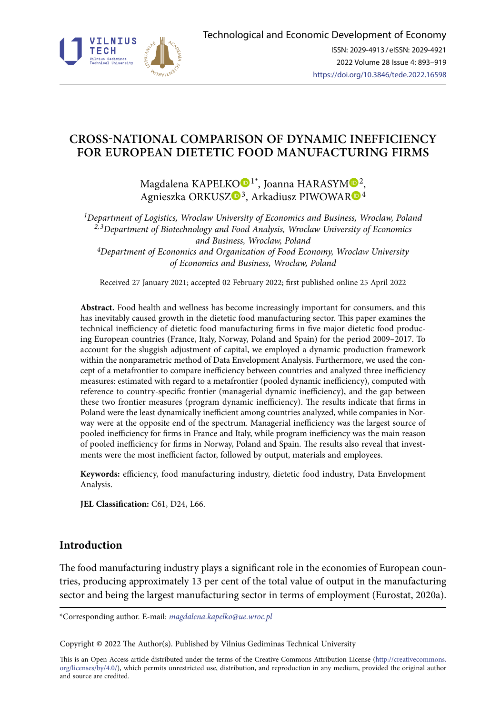

# **CROSS-NATIONAL COMPARISON OF DYNAMIC INEFFICIENCY FOR EUROPEAN DIETETIC FOOD MANUFACTURING FIRMS**

Magdalena KAPEL[KO](https://orcid.org/0000-0001-5394-7407)<sup>D1\*</sup>, Joanna HARASY[M](https://orcid.org/0000-0003-0806-7106)<sup>D2</sup>, Agnieszka ORKUSZ<sup>O[3](https://orcid.org/0000-0003-2020-2374)</sup>, Arkadiusz PIWOWA[R](https://orcid.org/0000-0001-5676-9431)<sup>O4</sup>

*1Department of Logistics, Wroclaw University of Economics and Business, Wroclaw, Poland 2, 3Department of Biotechnology and Food Analysis, Wroclaw University of Economics and Business, Wroclaw, Poland 4Department of Economics and Organization of Food Economy, Wroclaw University of Economics and Business, Wroclaw, Poland*

Received 27 January 2021; accepted 02 February 2022; first published online 25 April 2022

**Abstract.** Food health and wellness has become increasingly important for consumers, and this has inevitably caused growth in the dietetic food manufacturing sector. This paper examines the technical inefficiency of dietetic food manufacturing firms in five major dietetic food producing European countries (France, Italy, Norway, Poland and Spain) for the period 2009–2017. To account for the sluggish adjustment of capital, we employed a dynamic production framework within the nonparametric method of Data Envelopment Analysis. Furthermore, we used the concept of a metafrontier to compare inefficiency between countries and analyzed three inefficiency measures: estimated with regard to a metafrontier (pooled dynamic inefficiency), computed with reference to country-specific frontier (managerial dynamic inefficiency), and the gap between these two frontier measures (program dynamic inefficiency). The results indicate that firms in Poland were the least dynamically inefficient among countries analyzed, while companies in Norway were at the opposite end of the spectrum. Managerial inefficiency was the largest source of pooled inefficiency for firms in France and Italy, while program inefficiency was the main reason of pooled inefficiency for firms in Norway, Poland and Spain. The results also reveal that investments were the most inefficient factor, followed by output, materials and employees.

**Keywords:** efficiency, food manufacturing industry, dietetic food industry, Data Envelopment Analysis.

JEL Classification: C61, D24, L66.

## **Introduction**

The food manufacturing industry plays a significant role in the economies of European countries, producing approximately 13 per cent of the total value of output in the manufacturing sector and being the largest manufacturing sector in terms of employment (Eurostat, 2020a).

\*Corresponding author. E-mail: *[magdalena.kapelko@ue.wroc.pl](mailto:magdalena.kapelko@ue.wroc.pl)*

Copyright © 2022 The Author(s). Published by Vilnius Gediminas Technical University

This is an Open Access article distributed under the terms of the Creative Commons Attribution License ([http://creativecommons.](http://creativecommons.org/licenses/by/4.0/) [org/licenses/by/4.0/\)](http://creativecommons.org/licenses/by/4.0/), which permits unrestricted use, distribution, and reproduction in any medium, provided the original author and source are credited.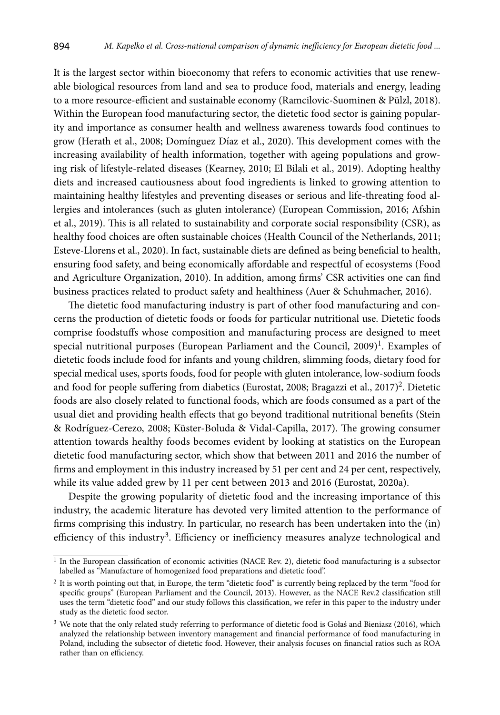It is the largest sector within bioeconomy that refers to economic activities that use renewable biological resources from land and sea to produce food, materials and energy, leading to a more resource-efficient and sustainable economy (Ramcilovic-Suominen & Pülzl, 2018). Within the European food manufacturing sector, the dietetic food sector is gaining popularity and importance as consumer health and wellness awareness towards food continues to grow (Herath et al., 2008; Domínguez Díaz et al., 2020). This development comes with the increasing availability of health information, together with ageing populations and growing risk of lifestyle-related diseases (Kearney, 2010; El Bilali et al., 2019). Adopting healthy diets and increased cautiousness about food ingredients is linked to growing attention to maintaining healthy lifestyles and preventing diseases or serious and life-threating food allergies and intolerances (such as gluten intolerance) (European Commission, 2016; Afshin et al., 2019). This is all related to sustainability and corporate social responsibility (CSR), as healthy food choices are often sustainable choices (Health Council of the Netherlands, 2011; Esteve-Llorens et al., 2020). In fact, sustainable diets are defined as being beneficial to health, ensuring food safety, and being economically affordable and respectful of ecosystems (Food and Agriculture Organization, 2010). In addition, among firms' CSR activities one can find business practices related to product safety and healthiness (Auer & Schuhmacher, 2016).

The dietetic food manufacturing industry is part of other food manufacturing and concerns the production of dietetic foods or foods for particular nutritional use. Dietetic foods comprise foodstuffs whose composition and manufacturing process are designed to meet special nutritional purposes (European Parliament and the Council,  $2009$ <sup>1</sup>. Examples of dietetic foods include food for infants and young children, slimming foods, dietary food for special medical uses, sports foods, food for people with gluten intolerance, low-sodium foods and food for people suffering from diabetics (Eurostat, 2008; Bragazzi et al.,  $2017$ )<sup>2</sup>. Dietetic foods are also closely related to functional foods, which are foods consumed as a part of the usual diet and providing health effects that go beyond traditional nutritional benefits (Stein & Rodríguez-Cerezo, 2008; Küster-Boluda & Vidal-Capilla, 2017). The growing consumer attention towards healthy foods becomes evident by looking at statistics on the European dietetic food manufacturing sector, which show that between 2011 and 2016 the number of firms and employment in this industry increased by 51 per cent and 24 per cent, respectively, while its value added grew by 11 per cent between 2013 and 2016 (Eurostat, 2020a).

Despite the growing popularity of dietetic food and the increasing importance of this industry, the academic literature has devoted very limited attention to the performance of firms comprising this industry. In particular, no research has been undertaken into the (in) efficiency of this industry<sup>3</sup>. Efficiency or inefficiency measures analyze technological and

 $<sup>1</sup>$  In the European classification of economic activities (NACE Rev. 2), dietetic food manufacturing is a subsector</sup> labelled as "Manufacture of homogenized food preparations and dietetic food".

<sup>&</sup>lt;sup>2</sup> It is worth pointing out that, in Europe, the term "dietetic food" is currently being replaced by the term "food for specific groups" (European Parliament and the Council, 2013). However, as the NACE Rev.2 classification still uses the term "dietetic food" and our study follows this classification, we refer in this paper to the industry under study as the dietetic food sector.

<sup>&</sup>lt;sup>3</sup> We note that the only related study referring to performance of dietetic food is Gołaś and Bieniasz (2016), which analyzed the relationship between inventory management and financial performance of food manufacturing in Poland, including the subsector of dietetic food. However, their analysis focuses on financial ratios such as ROA rather than on efficiency.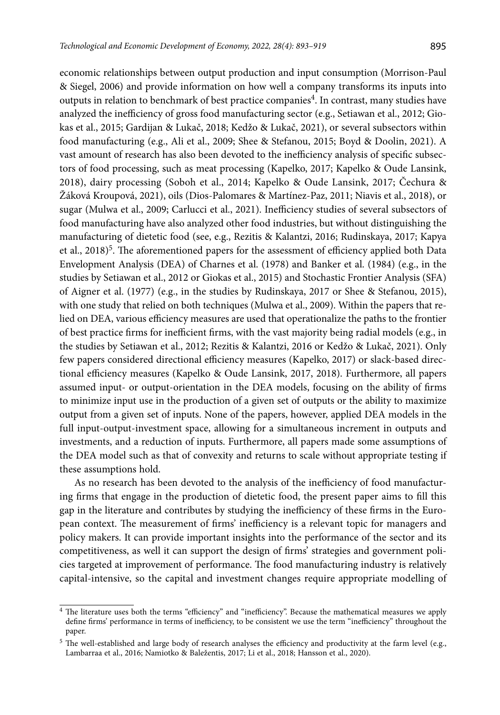economic relationships between output production and input consumption (Morrison-Paul & Siegel, 2006) and provide information on how well a company transforms its inputs into outputs in relation to benchmark of best practice companies<sup>4</sup>. In contrast, many studies have analyzed the inefficiency of gross food manufacturing sector (e.g., Setiawan et al., 2012; Giokas et al., 2015; Gardijan & Lukač, 2018; Kedžo & Lukač, 2021), or several subsectors within food manufacturing (e.g., Ali et al., 2009; Shee & Stefanou, 2015; Boyd & Doolin, 2021). A vast amount of research has also been devoted to the inefficiency analysis of specific subsectors of food processing, such as meat processing (Kapelko, 2017; Kapelko & Oude Lansink, 2018), dairy processing (Soboh et al., 2014; Kapelko & Oude Lansink, 2017; Čechura & Žáková Kroupová, 2021), oils (Dios-Palomares & Martínez-Paz, 2011; Niavis et al., 2018), or sugar (Mulwa et al., 2009; Carlucci et al., 2021). Inefficiency studies of several subsectors of food manufacturing have also analyzed other food industries, but without distinguishing the manufacturing of dietetic food (see, e.g., Rezitis & Kalantzi, 2016; Rudinskaya, 2017; Kapya et al., 2018)<sup>5</sup>. The aforementioned papers for the assessment of efficiency applied both Data Envelopment Analysis (DEA) of Charnes et al. (1978) and Banker et al. (1984) (e.g., in the studies by Setiawan et al., 2012 or Giokas et al., 2015) and Stochastic Frontier Analysis (SFA) of Aigner et al. (1977) (e.g., in the studies by Rudinskaya, 2017 or Shee & Stefanou, 2015), with one study that relied on both techniques (Mulwa et al., 2009). Within the papers that relied on DEA, various efficiency measures are used that operationalize the paths to the frontier of best practice firms for inefficient firms, with the vast majority being radial models (e.g., in the studies by Setiawan et al., 2012; Rezitis & Kalantzi, 2016 or Kedžo & Lukač, 2021). Only few papers considered directional efficiency measures (Kapelko, 2017) or slack-based directional efficiency measures (Kapelko & Oude Lansink, 2017, 2018). Furthermore, all papers assumed input- or output-orientation in the DEA models, focusing on the ability of firms to minimize input use in the production of a given set of outputs or the ability to maximize output from a given set of inputs. None of the papers, however, applied DEA models in the full input-output-investment space, allowing for a simultaneous increment in outputs and investments, and a reduction of inputs. Furthermore, all papers made some assumptions of the DEA model such as that of convexity and returns to scale without appropriate testing if these assumptions hold.

As no research has been devoted to the analysis of the inefficiency of food manufacturing firms that engage in the production of dietetic food, the present paper aims to fill this gap in the literature and contributes by studying the inefficiency of these firms in the European context. The measurement of firms' inefficiency is a relevant topic for managers and policy makers. It can provide important insights into the performance of the sector and its competitiveness, as well it can support the design of firms' strategies and government policies targeted at improvement of performance. The food manufacturing industry is relatively capital-intensive, so the capital and investment changes require appropriate modelling of

<sup>4</sup> The literature uses both the terms "efficiency" and "inefficiency". Because the mathematical measures we apply define firms' performance in terms of inefficiency, to be consistent we use the term "inefficiency" throughout the paper.

<sup>&</sup>lt;sup>5</sup> The well-established and large body of research analyses the efficiency and productivity at the farm level (e.g., Lambarraa et al., 2016; Namiotko & Baležentis, 2017; Li et al., 2018; Hansson et al., 2020).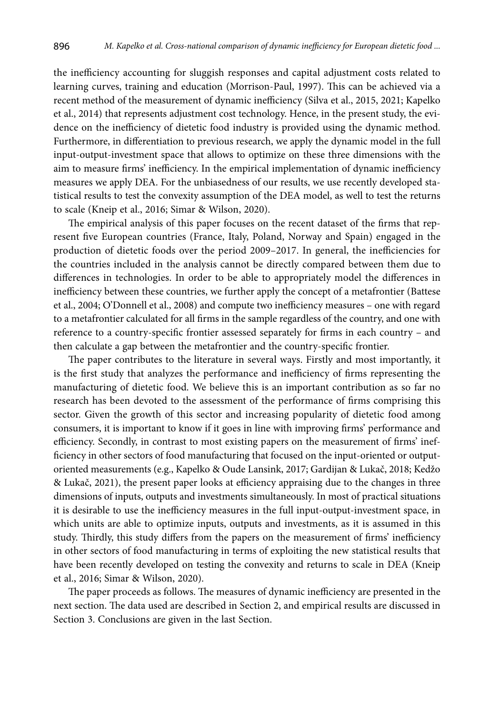the inefficiency accounting for sluggish responses and capital adjustment costs related to learning curves, training and education (Morrison-Paul, 1997). This can be achieved via a recent method of the measurement of dynamic inefficiency (Silva et al., 2015, 2021; Kapelko et al., 2014) that represents adjustment cost technology. Hence, in the present study, the evidence on the inefficiency of dietetic food industry is provided using the dynamic method. Furthermore, in differentiation to previous research, we apply the dynamic model in the full input-output-investment space that allows to optimize on these three dimensions with the aim to measure firms' inefficiency. In the empirical implementation of dynamic inefficiency measures we apply DEA. For the unbiasedness of our results, we use recently developed statistical results to test the convexity assumption of the DEA model, as well to test the returns to scale (Kneip et al., 2016; Simar & Wilson, 2020).

The empirical analysis of this paper focuses on the recent dataset of the firms that represent five European countries (France, Italy, Poland, Norway and Spain) engaged in the production of dietetic foods over the period 2009–2017. In general, the inefficiencies for the countries included in the analysis cannot be directly compared between them due to differences in technologies. In order to be able to appropriately model the differences in inefficiency between these countries, we further apply the concept of a metafrontier (Battese et al., 2004; O'Donnell et al., 2008) and compute two inefficiency measures – one with regard to a metafrontier calculated for all firms in the sample regardless of the country, and one with reference to a country-specific frontier assessed separately for firms in each country – and then calculate a gap between the metafrontier and the country-specific frontier.

The paper contributes to the literature in several ways. Firstly and most importantly, it is the first study that analyzes the performance and inefficiency of firms representing the manufacturing of dietetic food. We believe this is an important contribution as so far no research has been devoted to the assessment of the performance of firms comprising this sector. Given the growth of this sector and increasing popularity of dietetic food among consumers, it is important to know if it goes in line with improving firms' performance and efficiency. Secondly, in contrast to most existing papers on the measurement of firms' inefficiency in other sectors of food manufacturing that focused on the input-oriented or outputoriented measurements (e.g., Kapelko & Oude Lansink, 2017; Gardijan & Lukač, 2018; Kedžo & Lukač, 2021), the present paper looks at efficiency appraising due to the changes in three dimensions of inputs, outputs and investments simultaneously. In most of practical situations it is desirable to use the inefficiency measures in the full input-output-investment space, in which units are able to optimize inputs, outputs and investments, as it is assumed in this study. Thirdly, this study differs from the papers on the measurement of firms' inefficiency in other sectors of food manufacturing in terms of exploiting the new statistical results that have been recently developed on testing the convexity and returns to scale in DEA (Kneip et al., 2016; Simar & Wilson, 2020).

The paper proceeds as follows. The measures of dynamic inefficiency are presented in the next section. The data used are described in Section 2, and empirical results are discussed in Section 3. Conclusions are given in the last Section.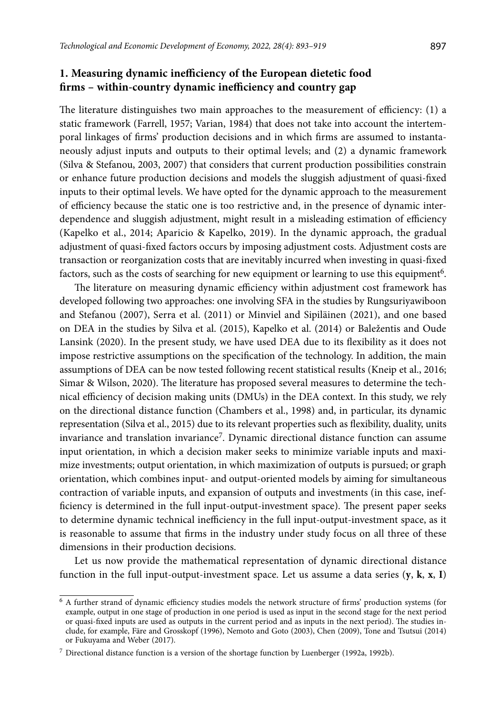# **1. Measuring dynamic inefficiency of the European dietetic food firms – within-country dynamic inefficiency and country gap**

The literature distinguishes two main approaches to the measurement of efficiency: (1) a static framework (Farrell, 1957; Varian, 1984) that does not take into account the intertemporal linkages of firms' production decisions and in which firms are assumed to instantaneously adjust inputs and outputs to their optimal levels; and (2) a dynamic framework (Silva & Stefanou, 2003, 2007) that considers that current production possibilities constrain or enhance future production decisions and models the sluggish adjustment of quasi-fixed inputs to their optimal levels. We have opted for the dynamic approach to the measurement of efficiency because the static one is too restrictive and, in the presence of dynamic interdependence and sluggish adjustment, might result in a misleading estimation of efficiency (Kapelko et al., 2014; Aparicio & Kapelko, 2019). In the dynamic approach, the gradual adjustment of quasi-fixed factors occurs by imposing adjustment costs. Adjustment costs are transaction or reorganization costs that are inevitably incurred when investing in quasi-fixed factors, such as the costs of searching for new equipment or learning to use this equipment<sup>6</sup>.

The literature on measuring dynamic efficiency within adjustment cost framework has developed following two approaches: one involving SFA in the studies by Rungsuriyawiboon and Stefanou (2007), Serra et al. (2011) or Minviel and Sipiläinen (2021), and one based on DEA in the studies by Silva et al. (2015), Kapelko et al. (2014) or Baležentis and Oude Lansink (2020). In the present study, we have used DEA due to its flexibility as it does not impose restrictive assumptions on the specification of the technology. In addition, the main assumptions of DEA can be now tested following recent statistical results (Kneip et al., 2016; Simar & Wilson, 2020). The literature has proposed several measures to determine the technical efficiency of decision making units (DMUs) in the DEA context. In this study, we rely on the directional distance function (Chambers et al., 1998) and, in particular, its dynamic representation (Silva et al., 2015) due to its relevant properties such as flexibility, duality, units invariance and translation invariance7. Dynamic directional distance function can assume input orientation, in which a decision maker seeks to minimize variable inputs and maximize investments; output orientation, in which maximization of outputs is pursued; or graph orientation, which combines input- and output-oriented models by aiming for simultaneous contraction of variable inputs, and expansion of outputs and investments (in this case, inefficiency is determined in the full input-output-investment space). The present paper seeks to determine dynamic technical inefficiency in the full input-output-investment space, as it is reasonable to assume that firms in the industry under study focus on all three of these dimensions in their production decisions.

Let us now provide the mathematical representation of dynamic directional distance function in the full input-output-investment space. Let us assume a data series (**y**, **k**, **x**, **I**)

<sup>6</sup> A further strand of dynamic efficiency studies models the network structure of firms' production systems (for example, output in one stage of production in one period is used as input in the second stage for the next period or quasi-fixed inputs are used as outputs in the current period and as inputs in the next period). The studies include, for example, Färe and Grosskopf (1996), Nemoto and Goto (2003), Chen (2009), Tone and Tsutsui (2014) or Fukuyama and Weber (2017).

<sup>7</sup> Directional distance function is a version of the shortage function by Luenberger (1992a, 1992b).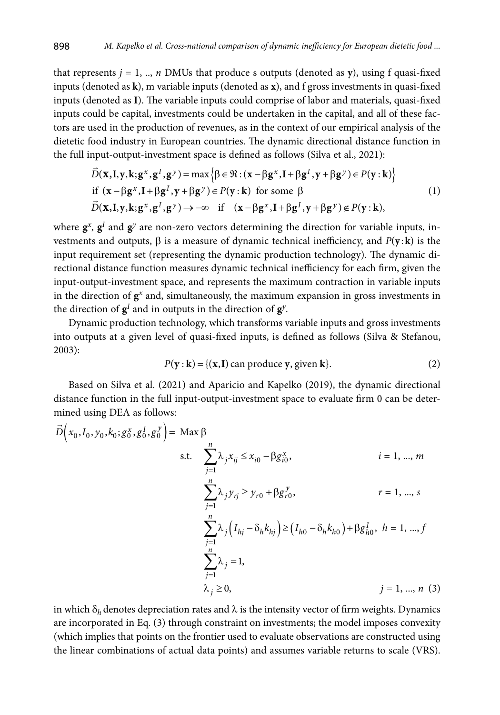that represents  $j = 1, ..., n$  DMUs that produce s outputs (denoted as  $y$ ), using f quasi-fixed inputs (denoted as **k**), m variable inputs (denoted as **x**), and f gross investments in quasi-fixed inputs (denoted as **I**). The variable inputs could comprise of labor and materials, quasi-fixed inputs could be capital, investments could be undertaken in the capital, and all of these factors are used in the production of revenues, as in the context of our empirical analysis of the dietetic food industry in European countries. The dynamic directional distance function in the full input-output-investment space is defined as follows (Silva et al., 2021):

$$
\vec{D}(\mathbf{x}, \mathbf{I}, \mathbf{y}, \mathbf{k}; \mathbf{g}^x, \mathbf{g}^I, \mathbf{g}^y) = \max \left\{ \beta \in \mathfrak{R} : (\mathbf{x} - \beta \mathbf{g}^x, \mathbf{I} + \beta \mathbf{g}^I, \mathbf{y} + \beta \mathbf{g}^y) \in P(\mathbf{y} : \mathbf{k}) \right\}
$$
\nif  $(\mathbf{x} - \beta \mathbf{g}^x, \mathbf{I} + \beta \mathbf{g}^I, \mathbf{y} + \beta \mathbf{g}^y) \in P(\mathbf{y} : \mathbf{k})$  for some  $\beta$  (1)  
\n
$$
\vec{D}(\mathbf{x}, \mathbf{I}, \mathbf{y}, \mathbf{k}; \mathbf{g}^x, \mathbf{g}^I, \mathbf{g}^y) \rightarrow -\infty \quad \text{if } (\mathbf{x} - \beta \mathbf{g}^x, \mathbf{I} + \beta \mathbf{g}^I, \mathbf{y} + \beta \mathbf{g}^y) \notin P(\mathbf{y} : \mathbf{k}),
$$

where  $\mathbf{g}^x$ ,  $\mathbf{g}^I$  and  $\mathbf{g}^y$  are non-zero vectors determining the direction for variable inputs, investments and outputs,  $\beta$  is a measure of dynamic technical inefficiency, and  $P(y: \mathbf{k})$  is the input requirement set (representing the dynamic production technology). The dynamic directional distance function measures dynamic technical inefficiency for each firm, given the input-output-investment space, and represents the maximum contraction in variable inputs in the direction of  $g^x$  and, simultaneously, the maximum expansion in gross investments in the direction of  $g<sup>I</sup>$  and in outputs in the direction of  $g<sup>y</sup>$ .

Dynamic production technology, which transforms variable inputs and gross investments into outputs at a given level of quasi-fixed inputs, is defined as follows (Silva & Stefanou, 2003):

$$
P(\mathbf{y} : \mathbf{k}) = \{(\mathbf{x}, \mathbf{I}) \text{ can produce } \mathbf{y}, \text{ given } \mathbf{k}\}. \tag{2}
$$

Based on Silva et al. (2021) and Aparicio and Kapelko (2019), the dynamic directional distance function in the full input-output-investment space to evaluate firm 0 can be determined using DEA as follows:

$$
\vec{D}\left(x_0, I_0, y_0, k_0; g_0^x, g_0^I, g_0^y\right) = \text{Max } \beta
$$
  
s.t. 
$$
\sum_{j=1}^n \lambda_j x_{ij} \le x_{i0} - \beta g_{i0}^x, \qquad i = 1, ..., m
$$

$$
\sum_{j=1}^n \lambda_j y_{rj} \ge y_{r0} + \beta g_{r0}^y, \qquad r = 1, ..., s
$$

$$
\sum_{j=1}^n \lambda_j \left(I_{hj} - \delta_h k_{hj}\right) \ge \left(I_{h0} - \delta_h k_{h0}\right) + \beta g_{h0}^I, \quad h = 1, ..., f
$$

$$
\sum_{j=1}^n \lambda_j = 1,
$$

$$
\lambda_j \ge 0, \qquad j = 1, ..., n \text{ (3)}
$$

in which  $\delta_h$  denotes depreciation rates and  $\lambda$  is the intensity vector of firm weights. Dynamics are incorporated in Eq. (3) through constraint on investments; the model imposes convexity (which implies that points on the frontier used to evaluate observations are constructed using the linear combinations of actual data points) and assumes variable returns to scale (VRS).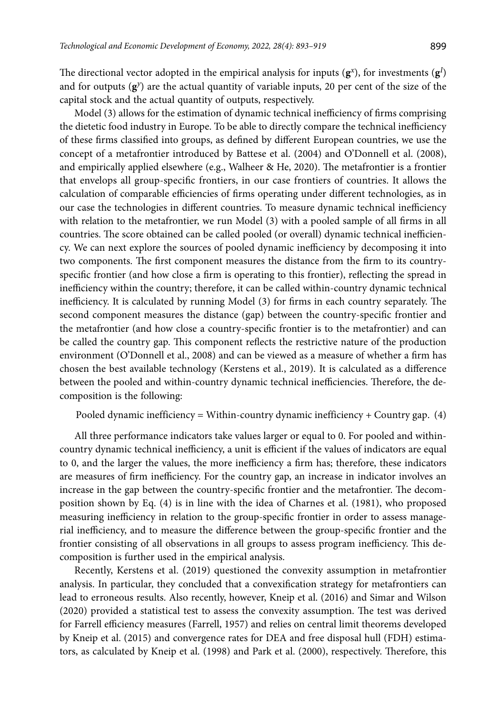The directional vector adopted in the empirical analysis for inputs  $(g^x)$ , for investments  $(g^I)$ and for outputs  $(g<sup>y</sup>)$  are the actual quantity of variable inputs, 20 per cent of the size of the capital stock and the actual quantity of outputs, respectively.

Model (3) allows for the estimation of dynamic technical inefficiency of firms comprising the dietetic food industry in Europe. To be able to directly compare the technical inefficiency of these firms classified into groups, as defined by different European countries, we use the concept of a metafrontier introduced by Battese et al. (2004) and O'Donnell et al. (2008), and empirically applied elsewhere (e.g., Walheer & He, 2020). The metafrontier is a frontier that envelops all group-specific frontiers, in our case frontiers of countries. It allows the calculation of comparable efficiencies of firms operating under different technologies, as in our case the technologies in different countries. To measure dynamic technical inefficiency with relation to the metafrontier, we run Model (3) with a pooled sample of all firms in all countries. The score obtained can be called pooled (or overall) dynamic technical inefficiency. We can next explore the sources of pooled dynamic inefficiency by decomposing it into two components. The first component measures the distance from the firm to its countryspecific frontier (and how close a firm is operating to this frontier), reflecting the spread in inefficiency within the country; therefore, it can be called within-country dynamic technical inefficiency. It is calculated by running Model (3) for firms in each country separately. The second component measures the distance (gap) between the country-specific frontier and the metafrontier (and how close a country-specific frontier is to the metafrontier) and can be called the country gap. This component reflects the restrictive nature of the production environment (O'Donnell et al., 2008) and can be viewed as a measure of whether a firm has chosen the best available technology (Kerstens et al., 2019). It is calculated as a difference between the pooled and within-country dynamic technical inefficiencies. Therefore, the decomposition is the following:

Pooled dynamic inefficiency = Within-country dynamic inefficiency + Country gap. (4)

All three performance indicators take values larger or equal to 0. For pooled and withincountry dynamic technical inefficiency, a unit is efficient if the values of indicators are equal to 0, and the larger the values, the more inefficiency a firm has; therefore, these indicators are measures of firm inefficiency. For the country gap, an increase in indicator involves an increase in the gap between the country-specific frontier and the metafrontier. The decomposition shown by Eq. (4) is in line with the idea of Charnes et al. (1981), who proposed measuring inefficiency in relation to the group-specific frontier in order to assess managerial inefficiency, and to measure the difference between the group-specific frontier and the frontier consisting of all observations in all groups to assess program inefficiency. This decomposition is further used in the empirical analysis.

Recently, Kerstens et al. (2019) questioned the convexity assumption in metafrontier analysis. In particular, they concluded that a convexification strategy for metafrontiers can lead to erroneous results. Also recently, however, Kneip et al. (2016) and Simar and Wilson (2020) provided a statistical test to assess the convexity assumption. The test was derived for Farrell efficiency measures (Farrell, 1957) and relies on central limit theorems developed by Kneip et al. (2015) and convergence rates for DEA and free disposal hull (FDH) estimators, as calculated by Kneip et al. (1998) and Park et al. (2000), respectively. Therefore, this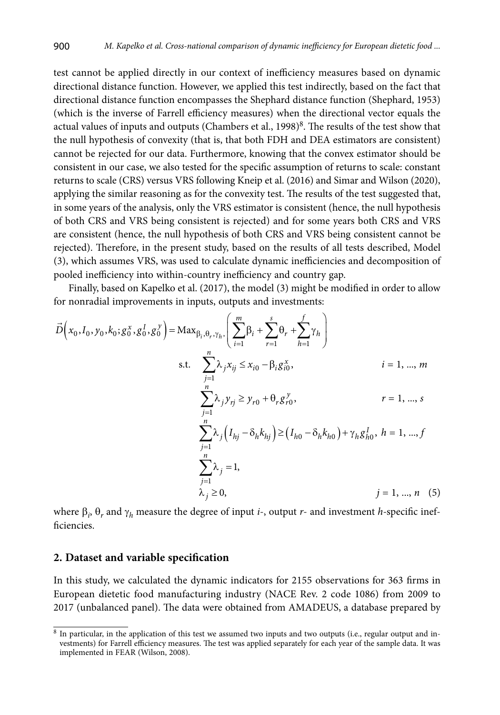test cannot be applied directly in our context of inefficiency measures based on dynamic directional distance function. However, we applied this test indirectly, based on the fact that directional distance function encompasses the Shephard distance function (Shephard, 1953) (which is the inverse of Farrell efficiency measures) when the directional vector equals the actual values of inputs and outputs (Chambers et al.,  $1998)^8$ . The results of the test show that the null hypothesis of convexity (that is, that both FDH and DEA estimators are consistent) cannot be rejected for our data. Furthermore, knowing that the convex estimator should be consistent in our case, we also tested for the specific assumption of returns to scale: constant returns to scale (CRS) versus VRS following Kneip et al. (2016) and Simar and Wilson (2020), applying the similar reasoning as for the convexity test. The results of the test suggested that, in some years of the analysis, only the VRS estimator is consistent (hence, the null hypothesis of both CRS and VRS being consistent is rejected) and for some years both CRS and VRS are consistent (hence, the null hypothesis of both CRS and VRS being consistent cannot be rejected). Therefore, in the present study, based on the results of all tests described, Model (3), which assumes VRS, was used to calculate dynamic inefficiencies and decomposition of pooled inefficiency into within-country inefficiency and country gap.

Finally, based on Kapelko et al. (2017), the model (3) might be modified in order to allow for nonradial improvements in inputs, outputs and investments:

$$
\vec{D}\left(x_{0}, I_{0}, y_{0}, k_{0}; g_{0}^{x}, g_{0}^{I}, g_{0}^{y}\right) = \text{Max}_{\beta_{i}, \theta_{r}, \gamma_{h}, \gamma_{h}}\left(\sum_{i=1}^{m} \beta_{i} + \sum_{r=1}^{s} \theta_{r} + \sum_{h=1}^{f} \gamma_{h}\right)
$$
\ns.t. 
$$
\sum_{j=1}^{n} \lambda_{j} x_{ij} \leq x_{i0} - \beta_{i} g_{i0}^{x}, \qquad i = 1, ..., m
$$
\n
$$
\sum_{j=1}^{n} \lambda_{j} y_{rj} \geq y_{r0} + \theta_{r} g_{r0}^{y}, \qquad r = 1, ..., s
$$
\n
$$
\sum_{j=1}^{n} \lambda_{j} \left(I_{hj} - \delta_{h} k_{hj}\right) \geq \left(I_{h0} - \delta_{h} k_{h0}\right) + \gamma_{h} g_{h0}^{I}, \qquad h = 1, ..., f
$$
\n
$$
\sum_{j=1}^{n} \lambda_{j} = 1,
$$
\n
$$
\lambda_{j} \geq 0, \qquad j = 1, ..., n \quad (5)
$$

where  $\beta_i$ ,  $\theta_r$  and  $\gamma_h$  measure the degree of input *i*-, output *r*- and investment *h*-specific inefficiencies.

#### **2. Dataset and variable specification**

In this study, we calculated the dynamic indicators for 2155 observations for 363 firms in European dietetic food manufacturing industry (NACE Rev. 2 code 1086) from 2009 to 2017 (unbalanced panel). The data were obtained from AMADEUS, a database prepared by

<sup>8</sup> In particular, in the application of this test we assumed two inputs and two outputs (i.e., regular output and investments) for Farrell efficiency measures. The test was applied separately for each year of the sample data. It was implemented in FEAR (Wilson, 2008).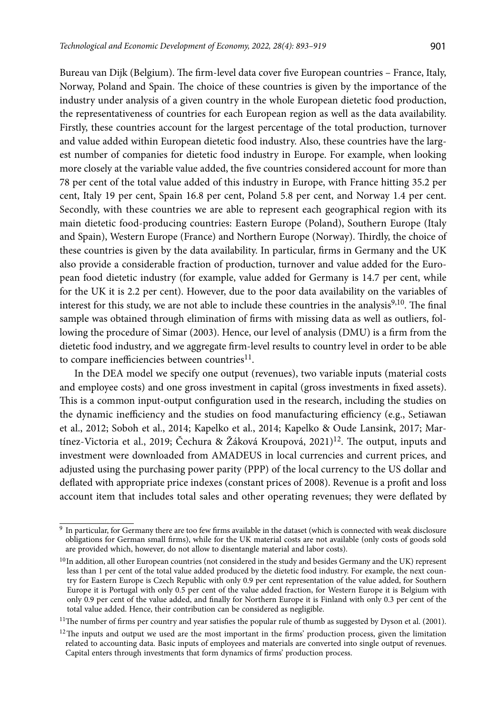Bureau van Dijk (Belgium). The firm-level data cover five European countries – France, Italy, Norway, Poland and Spain. The choice of these countries is given by the importance of the industry under analysis of a given country in the whole European dietetic food production, the representativeness of countries for each European region as well as the data availability. Firstly, these countries account for the largest percentage of the total production, turnover and value added within European dietetic food industry. Also, these countries have the largest number of companies for dietetic food industry in Europe. For example, when looking more closely at the variable value added, the five countries considered account for more than 78 per cent of the total value added of this industry in Europe, with France hitting 35.2 per cent, Italy 19 per cent, Spain 16.8 per cent, Poland 5.8 per cent, and Norway 1.4 per cent. Secondly, with these countries we are able to represent each geographical region with its main dietetic food-producing countries: Eastern Europe (Poland), Southern Europe (Italy and Spain), Western Europe (France) and Northern Europe (Norway). Thirdly, the choice of these countries is given by the data availability. In particular, firms in Germany and the UK also provide a considerable fraction of production, turnover and value added for the European food dietetic industry (for example, value added for Germany is 14.7 per cent, while for the UK it is 2.2 per cent). However, due to the poor data availability on the variables of interest for this study, we are not able to include these countries in the analysis $9,10$ . The final sample was obtained through elimination of firms with missing data as well as outliers, following the procedure of Simar (2003). Hence, our level of analysis (DMU) is a firm from the dietetic food industry, and we aggregate firm-level results to country level in order to be able to compare inefficiencies between countries $^{11}$ .

In the DEA model we specify one output (revenues), two variable inputs (material costs and employee costs) and one gross investment in capital (gross investments in fixed assets). This is a common input-output configuration used in the research, including the studies on the dynamic inefficiency and the studies on food manufacturing efficiency (e.g., Setiawan et al., 2012; Soboh et al., 2014; Kapelko et al., 2014; Kapelko & Oude Lansink, 2017; Martínez-Victoria et al., 2019; Čechura & Žáková Kroupová, 2021)<sup>12</sup>. The output, inputs and investment were downloaded from AMADEUS in local currencies and current prices, and adjusted using the purchasing power parity (PPP) of the local currency to the US dollar and deflated with appropriate price indexes (constant prices of 2008). Revenue is a profit and loss account item that includes total sales and other operating revenues; they were deflated by

 $9$  In particular, for Germany there are too few firms available in the dataset (which is connected with weak disclosure obligations for German small firms), while for the UK material costs are not available (only costs of goods sold are provided which, however, do not allow to disentangle material and labor costs).

 $10$  In addition, all other European countries (not considered in the study and besides Germany and the UK) represent less than 1 per cent of the total value added produced by the dietetic food industry. For example, the next country for Eastern Europe is Czech Republic with only 0.9 per cent representation of the value added, for Southern Europe it is Portugal with only 0.5 per cent of the value added fraction, for Western Europe it is Belgium with only 0.9 per cent of the value added, and finally for Northern Europe it is Finland with only 0.3 per cent of the total value added. Hence, their contribution can be considered as negligible.

<sup>&</sup>lt;sup>11</sup>The number of firms per country and year satisfies the popular rule of thumb as suggested by Dyson et al. (2001).

 $12$ The inputs and output we used are the most important in the firms' production process, given the limitation related to accounting data. Basic inputs of employees and materials are converted into single output of revenues. Capital enters through investments that form dynamics of firms' production process.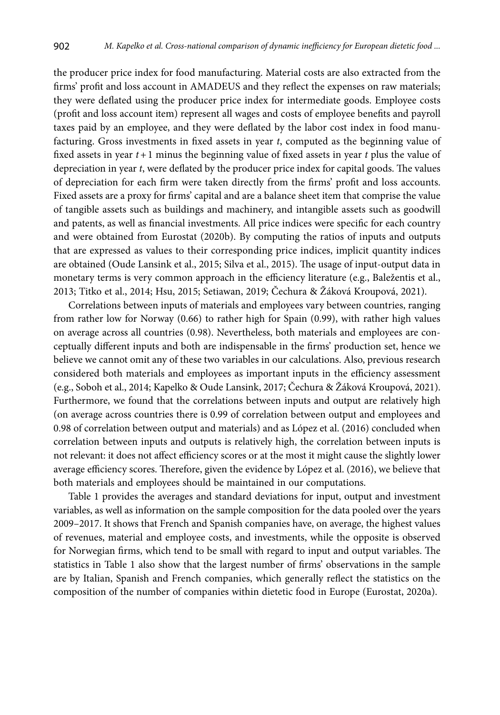the producer price index for food manufacturing. Material costs are also extracted from the firms' profit and loss account in AMADEUS and they reflect the expenses on raw materials; they were deflated using the producer price index for intermediate goods. Employee costs (profit and loss account item) represent all wages and costs of employee benefits and payroll taxes paid by an employee, and they were deflated by the labor cost index in food manufacturing. Gross investments in fixed assets in year *t*, computed as the beginning value of fixed assets in year *t+*1 minus the beginning value of fixed assets in year *t* plus the value of depreciation in year *t*, were deflated by the producer price index for capital goods. The values of depreciation for each firm were taken directly from the firms' profit and loss accounts. Fixed assets are a proxy for firms' capital and are a balance sheet item that comprise the value of tangible assets such as buildings and machinery, and intangible assets such as goodwill and patents, as well as financial investments. All price indices were specific for each country and were obtained from Eurostat (2020b). By computing the ratios of inputs and outputs that are expressed as values to their corresponding price indices, implicit quantity indices are obtained (Oude Lansink et al., 2015; Silva et al., 2015). The usage of input-output data in monetary terms is very common approach in the efficiency literature (e.g., Baležentis et al., 2013; Titko et al., 2014; Hsu, 2015; Setiawan, 2019; Čechura & Žáková Kroupová, 2021).

Correlations between inputs of materials and employees vary between countries, ranging from rather low for Norway (0.66) to rather high for Spain (0.99), with rather high values on average across all countries (0.98). Nevertheless, both materials and employees are conceptually different inputs and both are indispensable in the firms' production set, hence we believe we cannot omit any of these two variables in our calculations. Also, previous research considered both materials and employees as important inputs in the efficiency assessment (e.g., Soboh et al., 2014; Kapelko & Oude Lansink, 2017; Čechura & Žáková Kroupová, 2021). Furthermore, we found that the correlations between inputs and output are relatively high (on average across countries there is 0.99 of correlation between output and employees and 0.98 of correlation between output and materials) and as López et al. (2016) concluded when correlation between inputs and outputs is relatively high, the correlation between inputs is not relevant: it does not affect efficiency scores or at the most it might cause the slightly lower average efficiency scores. Therefore, given the evidence by López et al. (2016), we believe that both materials and employees should be maintained in our computations.

Table 1 provides the averages and standard deviations for input, output and investment variables, as well as information on the sample composition for the data pooled over the years 2009–2017. It shows that French and Spanish companies have, on average, the highest values of revenues, material and employee costs, and investments, while the opposite is observed for Norwegian firms, which tend to be small with regard to input and output variables. The statistics in Table 1 also show that the largest number of firms' observations in the sample are by Italian, Spanish and French companies, which generally reflect the statistics on the composition of the number of companies within dietetic food in Europe (Eurostat, 2020a).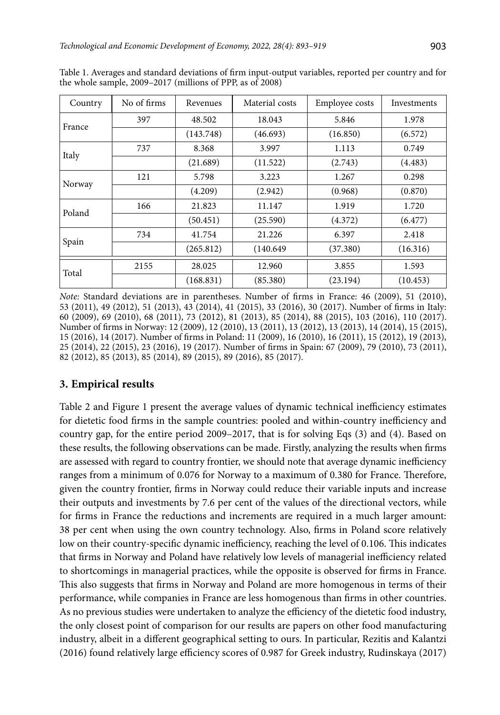| Country | No of firms | Revenues  | Material costs | Employee costs | Investments |
|---------|-------------|-----------|----------------|----------------|-------------|
| France  | 397         | 48.502    | 18.043         | 5.846          | 1.978       |
|         |             | (143.748) | (46.693)       | (16.850)       | (6.572)     |
|         | 737         | 8.368     | 3.997          | 1.113          | 0.749       |
| Italy   |             | (21.689)  | (11.522)       | (2.743)        | (4.483)     |
| Norway  | 121         | 5.798     | 3.223          | 1.267          | 0.298       |
|         |             | (4.209)   | (2.942)        | (0.968)        | (0.870)     |
| Poland  | 166         | 21.823    | 11.147         | 1.919          | 1.720       |
|         |             | (50.451)  | (25.590)       | (4.372)        | (6.477)     |
|         | 734         | 41.754    | 21.226         | 6.397          | 2.418       |
| Spain   |             | (265.812) | (140.649)      | (37.380)       | (16.316)    |
| Total   | 2155        | 28.025    | 12.960         | 3.855          | 1.593       |
|         |             | (168.831) | (85.380)       | (23.194)       | (10.453)    |

Table 1. Averages and standard deviations of firm input-output variables, reported per country and for the whole sample, 2009–2017 (millions of PPP, as of 2008)

*Note:* Standard deviations are in parentheses. Number of firms in France: 46 (2009), 51 (2010), 53 (2011), 49 (2012), 51 (2013), 43 (2014), 41 (2015), 33 (2016), 30 (2017). Number of firms in Italy: 60 (2009), 69 (2010), 68 (2011), 73 (2012), 81 (2013), 85 (2014), 88 (2015), 103 (2016), 110 (2017). Number of firms in Norway: 12 (2009), 12 (2010), 13 (2011), 13 (2012), 13 (2013), 14 (2014), 15 (2015), 15 (2016), 14 (2017). Number of firms in Poland: 11 (2009), 16 (2010), 16 (2011), 15 (2012), 19 (2013), 25 (2014), 22 (2015), 23 (2016), 19 (2017). Number of firms in Spain: 67 (2009), 79 (2010), 73 (2011), 82 (2012), 85 (2013), 85 (2014), 89 (2015), 89 (2016), 85 (2017).

# **3. Empirical results**

Table 2 and Figure 1 present the average values of dynamic technical inefficiency estimates for dietetic food firms in the sample countries: pooled and within-country inefficiency and country gap, for the entire period 2009–2017, that is for solving Eqs (3) and (4). Based on these results, the following observations can be made. Firstly, analyzing the results when firms are assessed with regard to country frontier, we should note that average dynamic inefficiency ranges from a minimum of 0.076 for Norway to a maximum of 0.380 for France. Therefore, given the country frontier, firms in Norway could reduce their variable inputs and increase their outputs and investments by 7.6 per cent of the values of the directional vectors, while for firms in France the reductions and increments are required in a much larger amount: 38 per cent when using the own country technology. Also, firms in Poland score relatively low on their country-specific dynamic inefficiency, reaching the level of 0.106. This indicates that firms in Norway and Poland have relatively low levels of managerial inefficiency related to shortcomings in managerial practices, while the opposite is observed for firms in France. This also suggests that firms in Norway and Poland are more homogenous in terms of their performance, while companies in France are less homogenous than firms in other countries. As no previous studies were undertaken to analyze the efficiency of the dietetic food industry, the only closest point of comparison for our results are papers on other food manufacturing industry, albeit in a different geographical setting to ours. In particular, Rezitis and Kalantzi (2016) found relatively large efficiency scores of 0.987 for Greek industry, Rudinskaya (2017)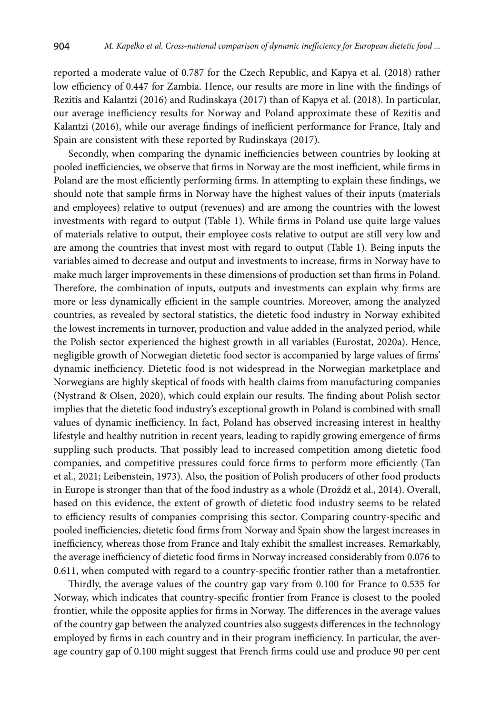reported a moderate value of 0.787 for the Czech Republic, and Kapya et al. (2018) rather low efficiency of 0.447 for Zambia. Hence, our results are more in line with the findings of Rezitis and Kalantzi (2016) and Rudinskaya (2017) than of Kapya et al. (2018). In particular, our average inefficiency results for Norway and Poland approximate these of Rezitis and Kalantzi (2016), while our average findings of inefficient performance for France, Italy and Spain are consistent with these reported by Rudinskaya (2017).

Secondly, when comparing the dynamic inefficiencies between countries by looking at pooled inefficiencies, we observe that firms in Norway are the most inefficient, while firms in Poland are the most efficiently performing firms. In attempting to explain these findings, we should note that sample firms in Norway have the highest values of their inputs (materials and employees) relative to output (revenues) and are among the countries with the lowest investments with regard to output (Table 1). While firms in Poland use quite large values of materials relative to output, their employee costs relative to output are still very low and are among the countries that invest most with regard to output (Table 1). Being inputs the variables aimed to decrease and output and investments to increase, firms in Norway have to make much larger improvements in these dimensions of production set than firms in Poland. Therefore, the combination of inputs, outputs and investments can explain why firms are more or less dynamically efficient in the sample countries. Moreover, among the analyzed countries, as revealed by sectoral statistics, the dietetic food industry in Norway exhibited the lowest increments in turnover, production and value added in the analyzed period, while the Polish sector experienced the highest growth in all variables (Eurostat, 2020a). Hence, negligible growth of Norwegian dietetic food sector is accompanied by large values of firms' dynamic inefficiency. Dietetic food is not widespread in the Norwegian marketplace and Norwegians are highly skeptical of foods with health claims from manufacturing companies (Nystrand & Olsen, 2020), which could explain our results. The finding about Polish sector implies that the dietetic food industry's exceptional growth in Poland is combined with small values of dynamic inefficiency. In fact, Poland has observed increasing interest in healthy lifestyle and healthy nutrition in recent years, leading to rapidly growing emergence of firms suppling such products. That possibly lead to increased competition among dietetic food companies, and competitive pressures could force firms to perform more efficiently (Tan et al., 2021; Leibenstein, 1973). Also, the position of Polish producers of other food products in Europe is stronger than that of the food industry as a whole (Drożdż et al., 2014). Overall, based on this evidence, the extent of growth of dietetic food industry seems to be related to efficiency results of companies comprising this sector. Comparing country-specific and pooled inefficiencies, dietetic food firms from Norway and Spain show the largest increases in inefficiency, whereas those from France and Italy exhibit the smallest increases. Remarkably, the average inefficiency of dietetic food firms in Norway increased considerably from 0.076 to 0.611, when computed with regard to a country-specific frontier rather than a metafrontier.

Thirdly, the average values of the country gap vary from 0.100 for France to 0.535 for Norway, which indicates that country-specific frontier from France is closest to the pooled frontier, while the opposite applies for firms in Norway. The differences in the average values of the country gap between the analyzed countries also suggests differences in the technology employed by firms in each country and in their program inefficiency. In particular, the average country gap of 0.100 might suggest that French firms could use and produce 90 per cent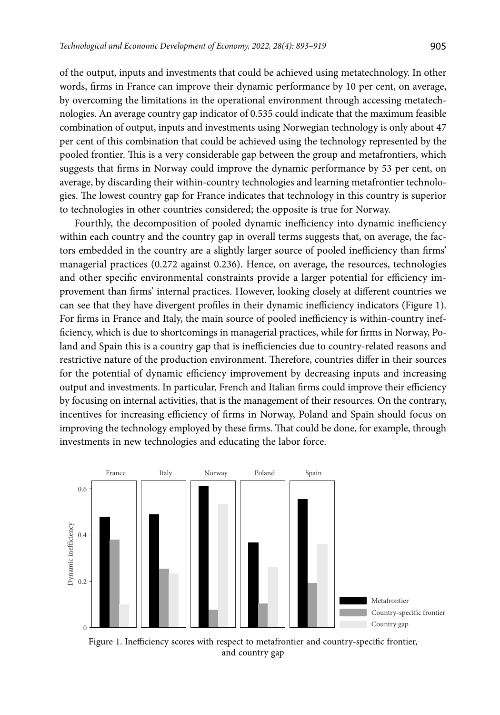of the output, inputs and investments that could be achieved using metatechnology. In other words, firms in France can improve their dynamic performance by 10 per cent, on average, by overcoming the limitations in the operational environment through accessing metatechnologies. An average country gap indicator of 0.535 could indicate that the maximum feasible combination of output, inputs and investments using Norwegian technology is only about 47 per cent of this combination that could be achieved using the technology represented by the pooled frontier. This is a very considerable gap between the group and metafrontiers, which suggests that firms in Norway could improve the dynamic performance by 53 per cent, on average, by discarding their within-country technologies and learning metafrontier technologies. The lowest country gap for France indicates that technology in this country is superior to technologies in other countries considered; the opposite is true for Norway.

Fourthly, the decomposition of pooled dynamic inefficiency into dynamic inefficiency within each country and the country gap in overall terms suggests that, on average, the factors embedded in the country are a slightly larger source of pooled inefficiency than firms' managerial practices (0.272 against 0.236). Hence, on average, the resources, technologies and other specific environmental constraints provide a larger potential for efficiency improvement than firms' internal practices. However, looking closely at different countries we can see that they have divergent profiles in their dynamic inefficiency indicators (Figure 1). For firms in France and Italy, the main source of pooled inefficiency is within-country inefficiency, which is due to shortcomings in managerial practices, while for firms in Norway, Poland and Spain this is a country gap that is inefficiencies due to country-related reasons and restrictive nature of the production environment. Therefore, countries differ in their sources for the potential of dynamic efficiency improvement by decreasing inputs and increasing output and investments. In particular, French and Italian firms could improve their efficiency by focusing on internal activities, that is the management of their resources. On the contrary, incentives for increasing efficiency of firms in Norway, Poland and Spain should focus on improving the technology employed by these firms. That could be done, for example, through investments in new technologies and educating the labor force.



Figure 1. Inefficiency scores with respect to metafrontier and country-specific frontier, and country gap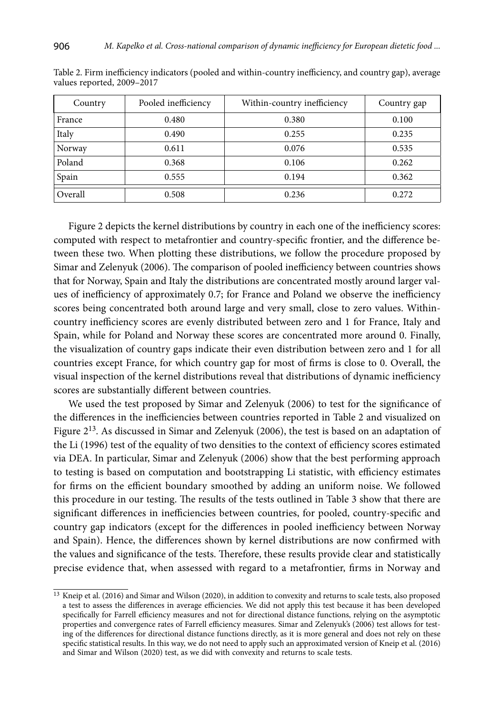| Country | Pooled inefficiency | Within-country inefficiency | Country gap |
|---------|---------------------|-----------------------------|-------------|
| France  | 0.480               | 0.380                       | 0.100       |
| Italy   | 0.490               | 0.255                       | 0.235       |
| Norway  | 0.611               | 0.076                       | 0.535       |
| Poland  | 0.368               | 0.106                       | 0.262       |
| Spain   | 0.555               | 0.194                       | 0.362       |
| Overall | 0.508               | 0.236                       | 0.272       |

Table 2. Firm inefficiency indicators (pooled and within-country inefficiency, and country gap), average values reported, 2009–2017

Figure 2 depicts the kernel distributions by country in each one of the inefficiency scores: computed with respect to metafrontier and country-specific frontier, and the difference between these two. When plotting these distributions, we follow the procedure proposed by Simar and Zelenyuk (2006). The comparison of pooled inefficiency between countries shows that for Norway, Spain and Italy the distributions are concentrated mostly around larger values of inefficiency of approximately 0.7; for France and Poland we observe the inefficiency scores being concentrated both around large and very small, close to zero values. Withincountry inefficiency scores are evenly distributed between zero and 1 for France, Italy and Spain, while for Poland and Norway these scores are concentrated more around 0. Finally, the visualization of country gaps indicate their even distribution between zero and 1 for all countries except France, for which country gap for most of firms is close to 0. Overall, the visual inspection of the kernel distributions reveal that distributions of dynamic inefficiency scores are substantially different between countries.

We used the test proposed by Simar and Zelenyuk (2006) to test for the significance of the differences in the inefficiencies between countries reported in Table 2 and visualized on Figure  $2^{13}$ . As discussed in Simar and Zelenyuk (2006), the test is based on an adaptation of the Li (1996) test of the equality of two densities to the context of efficiency scores estimated via DEA. In particular, Simar and Zelenyuk (2006) show that the best performing approach to testing is based on computation and bootstrapping Li statistic, with efficiency estimates for firms on the efficient boundary smoothed by adding an uniform noise. We followed this procedure in our testing. The results of the tests outlined in Table 3 show that there are significant differences in inefficiencies between countries, for pooled, country-specific and country gap indicators (except for the differences in pooled inefficiency between Norway and Spain). Hence, the differences shown by kernel distributions are now confirmed with the values and significance of the tests. Therefore, these results provide clear and statistically precise evidence that, when assessed with regard to a metafrontier, firms in Norway and

<sup>&</sup>lt;sup>13</sup> Kneip et al. (2016) and Simar and Wilson (2020), in addition to convexity and returns to scale tests, also proposed a test to assess the differences in average efficiencies. We did not apply this test because it has been developed specifically for Farrell efficiency measures and not for directional distance functions, relying on the asymptotic properties and convergence rates of Farrell efficiency measures. Simar and Zelenyuk's (2006) test allows for testing of the differences for directional distance functions directly, as it is more general and does not rely on these specific statistical results. In this way, we do not need to apply such an approximated version of Kneip et al. (2016) and Simar and Wilson (2020) test, as we did with convexity and returns to scale tests.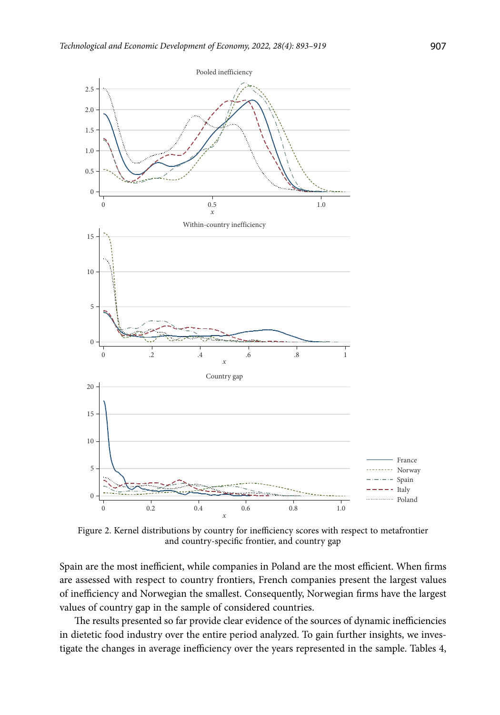

Figure 2. Kernel distributions by country for inefficiency scores with respect to metafrontier and country-specific frontier, and country gap

Spain are the most inefficient, while companies in Poland are the most efficient. When firms are assessed with respect to country frontiers, French companies present the largest values of inefficiency and Norwegian the smallest. Consequently, Norwegian firms have the largest values of country gap in the sample of considered countries.

The results presented so far provide clear evidence of the sources of dynamic inefficiencies in dietetic food industry over the entire period analyzed. To gain further insights, we investigate the changes in average inefficiency over the years represented in the sample. Tables 4,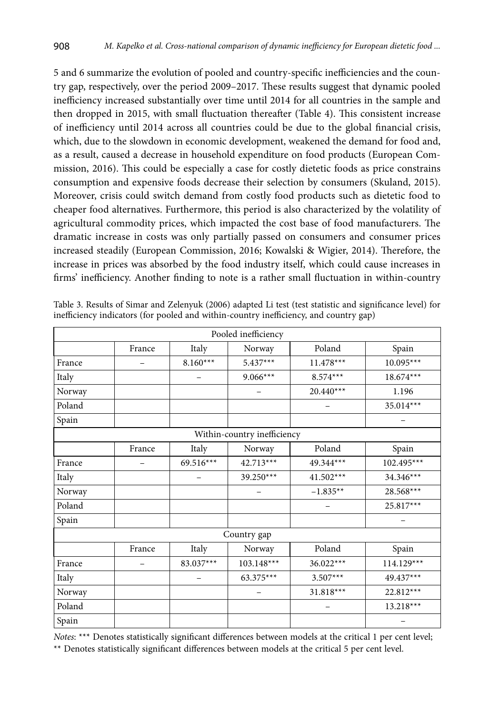5 and 6 summarize the evolution of pooled and country-specific inefficiencies and the country gap, respectively, over the period 2009–2017. These results suggest that dynamic pooled inefficiency increased substantially over time until 2014 for all countries in the sample and then dropped in 2015, with small fluctuation thereafter (Table 4). This consistent increase of inefficiency until 2014 across all countries could be due to the global financial crisis, which, due to the slowdown in economic development, weakened the demand for food and, as a result, caused a decrease in household expenditure on food products (European Commission, 2016). This could be especially a case for costly dietetic foods as price constrains consumption and expensive foods decrease their selection by consumers (Skuland, 2015). Moreover, crisis could switch demand from costly food products such as dietetic food to cheaper food alternatives. Furthermore, this period is also characterized by the volatility of agricultural commodity prices, which impacted the cost base of food manufacturers. The dramatic increase in costs was only partially passed on consumers and consumer prices increased steadily (European Commission, 2016; Kowalski & Wigier, 2014). Therefore, the increase in prices was absorbed by the food industry itself, which could cause increases in firms' inefficiency. Another finding to note is a rather small fluctuation in within-country

|        |                          |             | Pooled inefficiency         |             |              |
|--------|--------------------------|-------------|-----------------------------|-------------|--------------|
|        | France                   | Italy       | Norway                      | Poland      | Spain        |
| France |                          | $8.160***$  | $5.437***$                  | $11.478***$ | $10.095***$  |
| Italy  |                          |             | $9.066***$                  | $8.574***$  | 18.674***    |
| Norway |                          |             | $\qquad \qquad -$           | $20.440***$ | 1.196        |
| Poland |                          |             |                             |             | 35.014***    |
| Spain  |                          |             |                             |             |              |
|        |                          |             | Within-country inefficiency |             |              |
|        | France                   | Italy       | Norway                      | Poland      | Spain        |
| France | $\overline{\phantom{0}}$ | $69.516***$ | 42.713***                   | 49.344***   | 102.495***   |
| Italy  |                          |             | 39.250***                   | 41.502***   | 34.346***    |
| Norway |                          |             |                             | $-1.835**$  | 28.568***    |
| Poland |                          |             |                             |             | 25.817***    |
| Spain  |                          |             |                             |             |              |
|        |                          |             | Country gap                 |             |              |
|        | France                   | Italy       | Norway                      | Poland      | Spain        |
| France |                          | 83.037***   | 103.148***                  | 36.022***   | $114.129***$ |
| Italy  |                          |             | 63.375***                   | $3.507***$  | 49.437***    |
| Norway |                          |             |                             | 31.818***   | 22.812***    |
| Poland |                          |             |                             |             | 13.218***    |
| Spain  |                          |             |                             |             |              |

Table 3. Results of Simar and Zelenyuk (2006) adapted Li test (test statistic and significance level) for inefficiency indicators (for pooled and within-country inefficiency, and country gap)

*Notes*: \*\*\* Denotes statistically significant differences between models at the critical 1 per cent level; \*\* Denotes statistically significant differences between models at the critical 5 per cent level.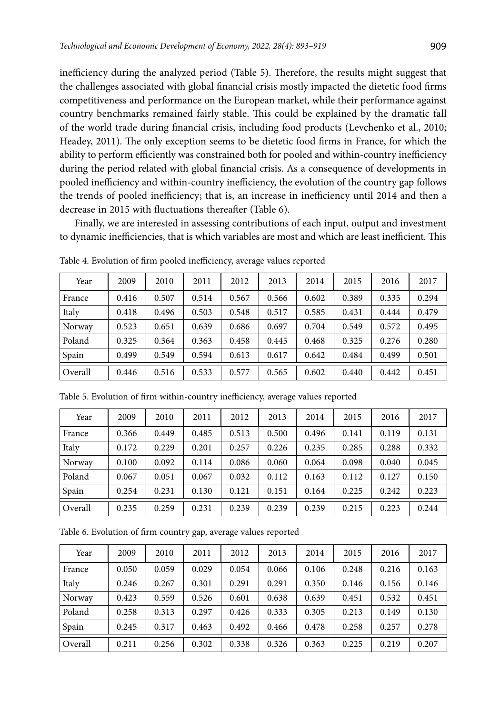inefficiency during the analyzed period (Table 5). Therefore, the results might suggest that the challenges associated with global financial crisis mostly impacted the dietetic food firms competitiveness and performance on the European market, while their performance against country benchmarks remained fairly stable. This could be explained by the dramatic fall of the world trade during financial crisis, including food products (Levchenko et al., 2010; Headey, 2011). The only exception seems to be dietetic food firms in France, for which the ability to perform efficiently was constrained both for pooled and within-country inefficiency during the period related with global financial crisis. As a consequence of developments in pooled inefficiency and within-country inefficiency, the evolution of the country gap follows the trends of pooled inefficiency; that is, an increase in inefficiency until 2014 and then a decrease in 2015 with fluctuations thereafter (Table 6).

Finally, we are interested in assessing contributions of each input, output and investment to dynamic inefficiencies, that is which variables are most and which are least inefficient. This

| Year    | 2009  | 2010  | 2011  | 2012  | 2013  | 2014  | 2015  | 2016  | 2017  |
|---------|-------|-------|-------|-------|-------|-------|-------|-------|-------|
| France  | 0.416 | 0.507 | 0.514 | 0.567 | 0.566 | 0.602 | 0.389 | 0.335 | 0.294 |
| Italy   | 0.418 | 0.496 | 0.503 | 0.548 | 0.517 | 0.585 | 0.431 | 0.444 | 0.479 |
| Norway  | 0.523 | 0.651 | 0.639 | 0.686 | 0.697 | 0.704 | 0.549 | 0.572 | 0.495 |
| Poland  | 0.325 | 0.364 | 0.363 | 0.458 | 0.445 | 0.468 | 0.325 | 0.276 | 0.280 |
| Spain   | 0.499 | 0.549 | 0.594 | 0.613 | 0.617 | 0.642 | 0.484 | 0.499 | 0.501 |
| Overall | 0.446 | 0.516 | 0.533 | 0.577 | 0.565 | 0.602 | 0.440 | 0.442 | 0.451 |

Table 4. Evolution of firm pooled inefficiency, average values reported

| Year    | 2009  | 2010  | 2011  | 2012  | 2013  | 2014  | 2015  | 2016  | 2017  |
|---------|-------|-------|-------|-------|-------|-------|-------|-------|-------|
| France  | 0.366 | 0.449 | 0.485 | 0.513 | 0.500 | 0.496 | 0.141 | 0.119 | 0.131 |
| Italy   | 0.172 | 0.229 | 0.201 | 0.257 | 0.226 | 0.235 | 0.285 | 0.288 | 0.332 |
| Norway  | 0.100 | 0.092 | 0.114 | 0.086 | 0.060 | 0.064 | 0.098 | 0.040 | 0.045 |
| Poland  | 0.067 | 0.051 | 0.067 | 0.032 | 0.112 | 0.163 | 0.112 | 0.127 | 0.150 |
| Spain   | 0.254 | 0.231 | 0.130 | 0.121 | 0.151 | 0.164 | 0.225 | 0.242 | 0.223 |
| Overall | 0.235 | 0.259 | 0.231 | 0.239 | 0.239 | 0.239 | 0.215 | 0.223 | 0.244 |

Table 5. Evolution of firm within-country inefficiency, average values reported

Table 6. Evolution of firm country gap, average values reported

| Year    | 2009  | 2010  | 2011  | 2012  | 2013  | 2014  | 2015  | 2016  | 2017  |
|---------|-------|-------|-------|-------|-------|-------|-------|-------|-------|
| France  | 0.050 | 0.059 | 0.029 | 0.054 | 0.066 | 0.106 | 0.248 | 0.216 | 0.163 |
| Italy   | 0.246 | 0.267 | 0.301 | 0.291 | 0.291 | 0.350 | 0.146 | 0.156 | 0.146 |
| Norway  | 0.423 | 0.559 | 0.526 | 0.601 | 0.638 | 0.639 | 0.451 | 0.532 | 0.451 |
| Poland  | 0.258 | 0.313 | 0.297 | 0.426 | 0.333 | 0.305 | 0.213 | 0.149 | 0.130 |
| Spain   | 0.245 | 0.317 | 0.463 | 0.492 | 0.466 | 0.478 | 0.258 | 0.257 | 0.278 |
| Overall | 0.211 | 0.256 | 0.302 | 0.338 | 0.326 | 0.363 | 0.225 | 0.219 | 0.207 |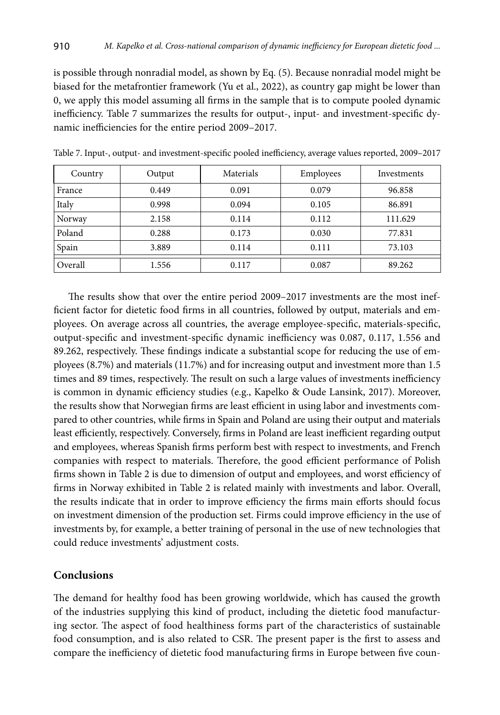is possible through nonradial model, as shown by Eq. (5). Because nonradial model might be biased for the metafrontier framework (Yu et al., 2022), as country gap might be lower than 0, we apply this model assuming all firms in the sample that is to compute pooled dynamic inefficiency. Table 7 summarizes the results for output-, input- and investment-specific dynamic inefficiencies for the entire period 2009–2017.

| Country | Output | Materials | Employees | Investments |
|---------|--------|-----------|-----------|-------------|
| France  | 0.449  | 0.091     | 0.079     | 96.858      |
| Italy   | 0.998  | 0.094     | 0.105     | 86.891      |
| Norway  | 2.158  | 0.114     | 0.112     | 111.629     |
| Poland  | 0.288  | 0.173     | 0.030     | 77.831      |
| Spain   | 3.889  | 0.114     | 0.111     | 73.103      |
| Overall | 1.556  | 0.117     | 0.087     | 89.262      |

Table 7. Input-, output- and investment-specific pooled inefficiency, average values reported, 2009–2017

The results show that over the entire period 2009–2017 investments are the most inefficient factor for dietetic food firms in all countries, followed by output, materials and employees. On average across all countries, the average employee-specific, materials-specific, output-specific and investment-specific dynamic inefficiency was 0.087, 0.117, 1.556 and 89.262, respectively. These findings indicate a substantial scope for reducing the use of employees (8.7%) and materials (11.7%) and for increasing output and investment more than 1.5 times and 89 times, respectively. The result on such a large values of investments inefficiency is common in dynamic efficiency studies (e.g., Kapelko & Oude Lansink, 2017). Moreover, the results show that Norwegian firms are least efficient in using labor and investments compared to other countries, while firms in Spain and Poland are using their output and materials least efficiently, respectively. Conversely, firms in Poland are least inefficient regarding output and employees, whereas Spanish firms perform best with respect to investments, and French companies with respect to materials. Therefore, the good efficient performance of Polish firms shown in Table 2 is due to dimension of output and employees, and worst efficiency of firms in Norway exhibited in Table 2 is related mainly with investments and labor. Overall, the results indicate that in order to improve efficiency the firms main efforts should focus on investment dimension of the production set. Firms could improve efficiency in the use of investments by, for example, a better training of personal in the use of new technologies that could reduce investments' adjustment costs.

## **Conclusions**

The demand for healthy food has been growing worldwide, which has caused the growth of the industries supplying this kind of product, including the dietetic food manufacturing sector. The aspect of food healthiness forms part of the characteristics of sustainable food consumption, and is also related to CSR. The present paper is the first to assess and compare the inefficiency of dietetic food manufacturing firms in Europe between five coun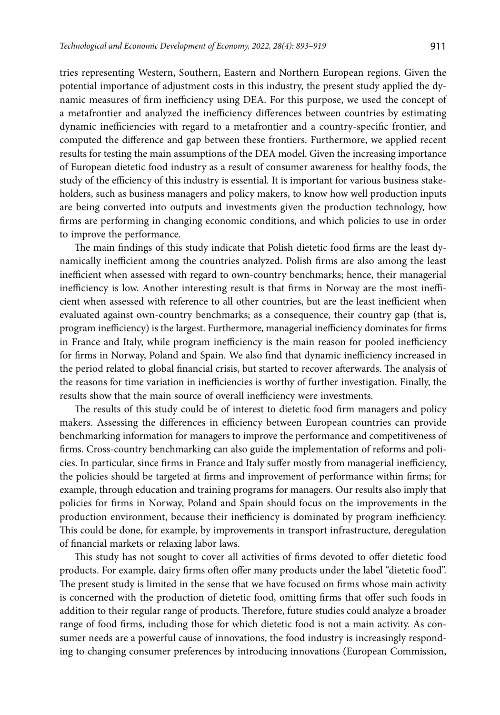tries representing Western, Southern, Eastern and Northern European regions. Given the potential importance of adjustment costs in this industry, the present study applied the dynamic measures of firm inefficiency using DEA. For this purpose, we used the concept of a metafrontier and analyzed the inefficiency differences between countries by estimating dynamic inefficiencies with regard to a metafrontier and a country-specific frontier, and computed the difference and gap between these frontiers. Furthermore, we applied recent results for testing the main assumptions of the DEA model. Given the increasing importance of European dietetic food industry as a result of consumer awareness for healthy foods, the study of the efficiency of this industry is essential. It is important for various business stakeholders, such as business managers and policy makers, to know how well production inputs are being converted into outputs and investments given the production technology, how firms are performing in changing economic conditions, and which policies to use in order to improve the performance.

The main findings of this study indicate that Polish dietetic food firms are the least dynamically inefficient among the countries analyzed. Polish firms are also among the least inefficient when assessed with regard to own-country benchmarks; hence, their managerial inefficiency is low. Another interesting result is that firms in Norway are the most inefficient when assessed with reference to all other countries, but are the least inefficient when evaluated against own-country benchmarks; as a consequence, their country gap (that is, program inefficiency) is the largest. Furthermore, managerial inefficiency dominates for firms in France and Italy, while program inefficiency is the main reason for pooled inefficiency for firms in Norway, Poland and Spain. We also find that dynamic inefficiency increased in the period related to global financial crisis, but started to recover afterwards. The analysis of the reasons for time variation in inefficiencies is worthy of further investigation. Finally, the results show that the main source of overall inefficiency were investments.

The results of this study could be of interest to dietetic food firm managers and policy makers. Assessing the differences in efficiency between European countries can provide benchmarking information for managers to improve the performance and competitiveness of firms. Cross-country benchmarking can also guide the implementation of reforms and policies. In particular, since firms in France and Italy suffer mostly from managerial inefficiency, the policies should be targeted at firms and improvement of performance within firms; for example, through education and training programs for managers. Our results also imply that policies for firms in Norway, Poland and Spain should focus on the improvements in the production environment, because their inefficiency is dominated by program inefficiency. This could be done, for example, by improvements in transport infrastructure, deregulation of financial markets or relaxing labor laws.

This study has not sought to cover all activities of firms devoted to offer dietetic food products. For example, dairy firms often offer many products under the label "dietetic food". The present study is limited in the sense that we have focused on firms whose main activity is concerned with the production of dietetic food, omitting firms that offer such foods in addition to their regular range of products. Therefore, future studies could analyze a broader range of food firms, including those for which dietetic food is not a main activity. As consumer needs are a powerful cause of innovations, the food industry is increasingly responding to changing consumer preferences by introducing innovations (European Commission,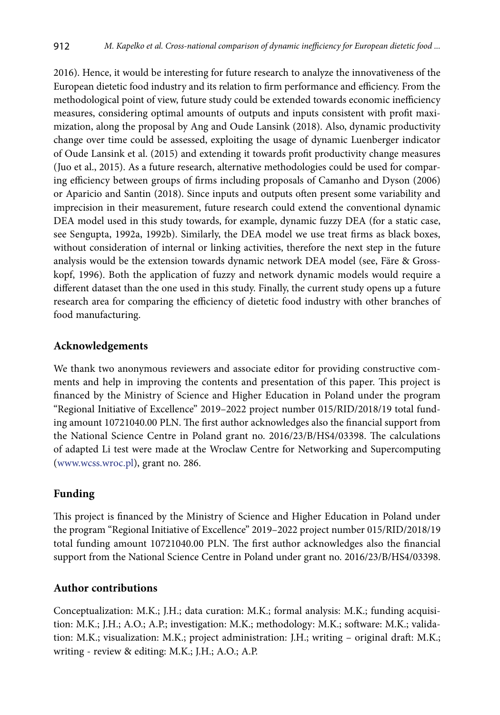2016). Hence, it would be interesting for future research to analyze the innovativeness of the European dietetic food industry and its relation to firm performance and efficiency. From the methodological point of view, future study could be extended towards economic inefficiency measures, considering optimal amounts of outputs and inputs consistent with profit maximization, along the proposal by Ang and Oude Lansink (2018). Also, dynamic productivity change over time could be assessed, exploiting the usage of dynamic Luenberger indicator of Oude Lansink et al. (2015) and extending it towards profit productivity change measures (Juo et al., 2015). As a future research, alternative methodologies could be used for comparing efficiency between groups of firms including proposals of Camanho and Dyson (2006) or Aparicio and Santin (2018). Since inputs and outputs often present some variability and imprecision in their measurement, future research could extend the conventional dynamic DEA model used in this study towards, for example, dynamic fuzzy DEA (for a static case, see Sengupta, 1992a, 1992b). Similarly, the DEA model we use treat firms as black boxes, without consideration of internal or linking activities, therefore the next step in the future analysis would be the extension towards dynamic network DEA model (see, Färe & Grosskopf, 1996). Both the application of fuzzy and network dynamic models would require a different dataset than the one used in this study. Finally, the current study opens up a future research area for comparing the efficiency of dietetic food industry with other branches of food manufacturing.

# **Acknowledgements**

We thank two anonymous reviewers and associate editor for providing constructive comments and help in improving the contents and presentation of this paper. This project is financed by the Ministry of Science and Higher Education in Poland under the program "Regional Initiative of Excellence" 2019–2022 project number 015/RID/2018/19 total funding amount 10721040.00 PLN. The first author acknowledges also the financial support from the National Science Centre in Poland grant no. 2016/23/B/HS4/03398. The calculations of adapted Li test were made at the Wroclaw Centre for Networking and Supercomputing [\(www.wcss.wroc.pl](http://www.wcss.wroc.pl)), grant no. 286.

# **Funding**

This project is financed by the Ministry of Science and Higher Education in Poland under the program "Regional Initiative of Excellence" 2019–2022 project number 015/RID/2018/19 total funding amount 10721040.00 PLN. The first author acknowledges also the financial support from the National Science Centre in Poland under grant no. 2016/23/B/HS4/03398.

## **Author contributions**

Conceptualization: M.K.; J.H.; data curation: M.K.; formal analysis: M.K.; funding acquisition: M.K.; J.H.; A.O.; A.P.; investigation: M.K.; methodology: M.K.; software: M.K.; validation: M.K.; visualization: M.K.; project administration: J.H.; writing – original draft: M.K.; writing - review & editing: M.K.; J.H.; A.O.; A.P.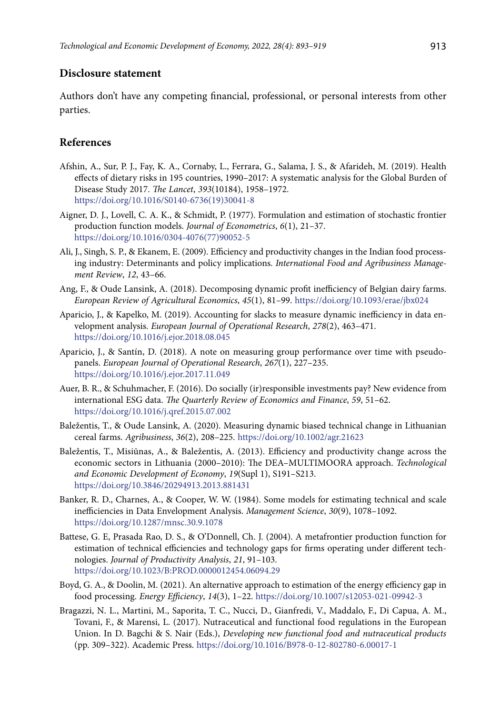## **Disclosure statement**

Authors don't have any competing financial, professional, or personal interests from other parties.

## **References**

- Afshin, A., Sur, P. J., Fay, K. A., Cornaby, L., Ferrara, G., Salama, J. S., & Afarideh, M. (2019). Health effects of dietary risks in 195 countries, 1990–2017: A systematic analysis for the Global Burden of Disease Study 2017. *The Lancet*, *393*(10184), 1958–1972. [https://doi.org/10.1016/S0140-6736\(19\)30041-8](https://doi.org/10.1016/S0140-6736(19)30041-8)
- Aigner, D. J., Lovell, C. A. K., & Schmidt, P. (1977). Formulation and estimation of stochastic frontier production function models. *Journal of Econometrics*, *6*(1), 21–37. [https://doi.org/10.1016/0304-4076\(77\)90052-5](https://doi.org/10.1016/0304-4076(77)90052-5)
- Ali, J., Singh, S. P., & Ekanem, E. (2009). Efficiency and productivity changes in the Indian food processing industry: Determinants and policy implications. *International Food and Agribusiness Management Review*, *12*, 43–66.
- Ang, F., & Oude Lansink, A. (2018). Decomposing dynamic profit inefficiency of Belgian dairy farms. *European Review of Agricultural Economics*, *45*(1), 81–99. <https://doi.org/10.1093/erae/jbx024>
- Aparicio, J., & Kapelko, M. (2019). Accounting for slacks to measure dynamic inefficiency in data envelopment analysis. *European Journal of Operational Research*, *278*(2), 463–471. <https://doi.org/10.1016/j.ejor.2018.08.045>
- Aparicio, J., & Santín, D. (2018). A note on measuring group performance over time with pseudopanels. *European Journal of Operational Research*, *267*(1), 227–235. <https://doi.org/10.1016/j.ejor.2017.11.049>
- Auer, B. R., & Schuhmacher, F. (2016). Do socially (ir)responsible investments pay? New evidence from international ESG data. *The Quarterly Review of Economics and Finance*, *59*, 51–62. <https://doi.org/10.1016/j.qref.2015.07.002>
- Baležentis, T., & Oude Lansink, A. (2020). Measuring dynamic biased technical change in Lithuanian cereal farms. *Agribusiness*, *36*(2), 208–225. <https://doi.org/10.1002/agr.21623>
- Baležentis, T., Misiūnas, A., & Baležentis, A. (2013). Efficiency and productivity change across the economic sectors in Lithuania (2000–2010): The DEA–MULTIMOORA approach. *Technological and Economic Development of Economy*, *19*(Supl 1), S191–S213. <https://doi.org/10.3846/20294913.2013.881431>
- Banker, R. D., Charnes, A., & Cooper, W. W. (1984). Some models for estimating technical and scale inefficiencies in Data Envelopment Analysis. *Management Science*, *30*(9), 1078–1092. <https://doi.org/10.1287/mnsc.30.9.1078>
- Battese, G. E, Prasada Rao, D. S., & O'Donnell, Ch. J. (2004). A metafrontier production function for estimation of technical efficiencies and technology gaps for firms operating under different technologies. *Journal of Productivity Analysis*, *21*, 91–103. <https://doi.org/10.1023/B:PROD.0000012454.06094.29>
- Boyd, G. A., & Doolin, M. (2021). An alternative approach to estimation of the energy efficiency gap in food processing. *Energy Efficiency*, *14*(3), 1–22. <https://doi.org/10.1007/s12053-021-09942-3>
- Bragazzi, N. L., Martini, M., Saporita, T. C., Nucci, D., Gianfredi, V., Maddalo, F., Di Capua, A. M., Tovani, F., & Marensi, L. (2017). Nutraceutical and functional food regulations in the European Union. In D. Bagchi & S. Nair (Eds.), *Developing new functional food and nutraceutical products* (pp. 309–322). Academic Press. <https://doi.org/10.1016/B978-0-12-802780-6.00017-1>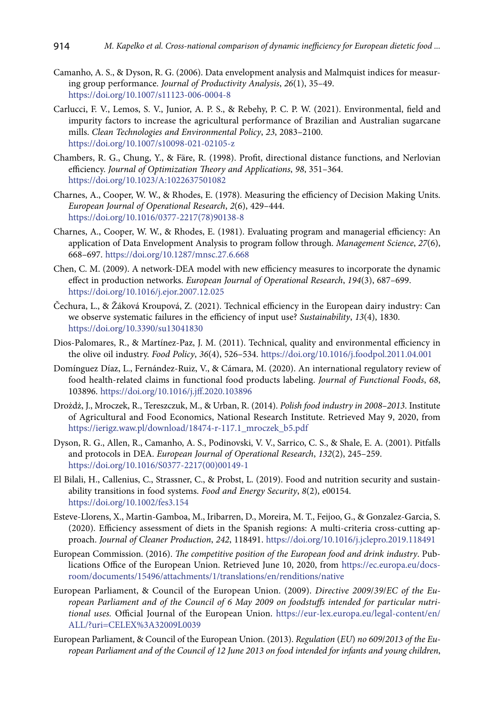- Camanho, A. S., & Dyson, R. G. (2006). Data envelopment analysis and Malmquist indices for measuring group performance. *Journal of Productivity Analysis*, *26*(1), 35–49. https://doi.org/10.1007/s11123-006-0004-8
- Carlucci, F. V., Lemos, S. V., Junior, A. P. S., & Rebehy, P. C. P. W. (2021). Environmental, field and impurity factors to increase the agricultural performance of Brazilian and Australian sugarcane mills. *Clean Technologies and Environmental Policy*, *23*, 2083–2100. <https://doi.org/10.1007/s10098-021-02105-z>
- Chambers, R. G., Chung, Y., & Färe, R. (1998). Profit, directional distance functions, and Nerlovian efficiency. *Journal of Optimization Theory and Applications*, *98*, 351–364. <https://doi.org/10.1023/A:1022637501082>
- Charnes, A., Cooper, W. W., & Rhodes, E. (1978). Measuring the efficiency of Decision Making Units. *European Journal of Operational Research*, *2*(6), 429–444. [https://doi.org/10.1016/0377-2217\(78\)90138-8](https://doi.org/10.1016/0377-2217(78)90138-8)
- Charnes, A., Cooper, W. W., & Rhodes, E. (1981). Evaluating program and managerial efficiency: An application of Data Envelopment Analysis to program follow through. *Management Science*, *27*(6), 668–697. <https://doi.org/10.1287/mnsc.27.6.668>
- Chen, C. M. (2009). A network-DEA model with new efficiency measures to incorporate the dynamic effect in production networks. *European Journal of Operational Research*, *194*(3), 687–699. <https://doi.org/10.1016/j.ejor.2007.12.025>
- Čechura, L., & Žáková Kroupová, Z. (2021). Technical efficiency in the European dairy industry: Can we observe systematic failures in the efficiency of input use? *Sustainability*, *13*(4), 1830. <https://doi.org/10.3390/su13041830>
- Dios-Palomares, R., & Martínez-Paz, J. M. (2011). Technical, quality and environmental efficiency in the olive oil industry. *Food Policy*, *36*(4), 526–534. <https://doi.org/10.1016/j.foodpol.2011.04.001>
- Domínguez Díaz, L., Fernández-Ruiz, V., & Cámara, M. (2020). An international regulatory review of food health-related claims in functional food products labeling. *Journal of Functional Foods*, *68*, 103896. <https://doi.org/10.1016/j.jff.2020.103896>
- Drożdż, J., Mroczek, R., Tereszczuk, M., & Urban, R. (2014). *Polish food industry in 2008–2013*. Institute of Agricultural and Food Economics, National Research Institute. Retrieved May 9, 2020, from https://ierigz.waw.pl/download/18474-r-117.1\_mroczek\_b5.pdf
- Dyson, R. G., Allen, R., Camanho, A. S., Podinovski, V. V., Sarrico, C. S., & Shale, E. A. (2001). Pitfalls and protocols in DEA. *European Journal of Operational Research*, *132*(2), 245–259. [https://doi.org/10.1016/S0377-2217\(00\)00149-1](https://doi.org/10.1016/S0377-2217(00)00149-1)
- El Bilali, H., Callenius, C., Strassner, C., & Probst, L. (2019). Food and nutrition security and sustainability transitions in food systems. *Food and Energy Security*, *8*(2), e00154. <https://doi.org/10.1002/fes3.154>
- Esteve-Llorens, X., Martin-Gamboa, M., Iribarren, D., Moreira, M. T., Feijoo, G., & Gonzalez-Garcia, S. (2020). Efficiency assessment of diets in the Spanish regions: A multi-criteria cross-cutting approach. *Journal of Cleaner Production*, *242*, 118491. <https://doi.org/10.1016/j.jclepro.2019.118491>
- European Commission. (2016). *The competitive position of the European food and drink industry*. Publications Office of the European Union. Retrieved June 10, 2020, from https://ec.europa.eu/docsroom/documents/15496/attachments/1/translations/en/renditions/native
- European Parliament, & Council of the European Union. (2009). *Directive 2009*/*39*/*EC of the European Parliament and of the Council of 6 May 2009 on foodstuffs intended for particular nutritional uses.* Official Journal of the European Union. https://eur-lex.europa.eu/legal-content/en/ ALL/?uri=CELEX%3A32009L0039
- European Parliament, & Council of the European Union. (2013). *Regulation* (*EU*) *no 609*/*2013 of the European Parliament and of the Council of 12 June 2013 on food intended for infants and young children*,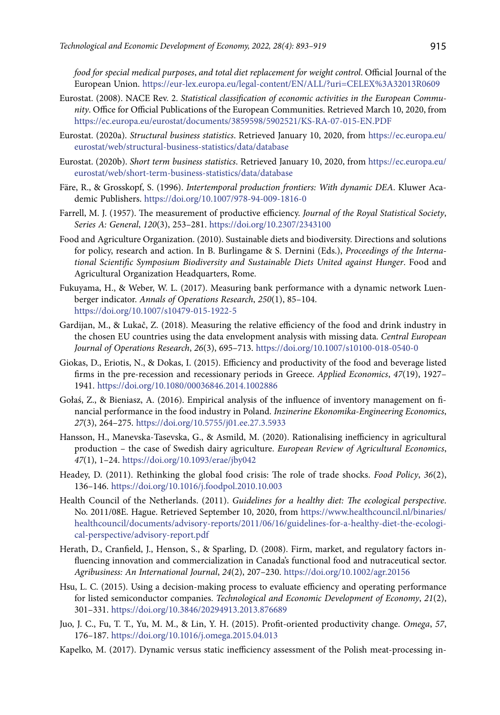*food for special medical purposes*, *and total diet replacement for weight control*. Official Journal of the European Union. https://eur-lex.europa.eu/legal-content/EN/ALL/?uri=CELEX%3A32013R0609

- Eurostat. (2008). NACE Rev. 2. *Statistical classification of economic activities in the European Community*. Office for Official Publications of the European Communities. Retrieved March 10, 2020, from https://ec.europa.eu/eurostat/documents/3859598/5902521/KS-RA-07-015-EN.PDF
- Eurostat. (2020a). *Structural business statistics*. Retrieved January 10, 2020, from https://ec.europa.eu/ eurostat/web/structural-business-statistics/data/database
- Eurostat. (2020b). *Short term business statistics*. Retrieved January 10, 2020, from https://ec.europa.eu/ eurostat/web/short-term-business-statistics/data/database
- Färe, R., & Grosskopf, S. (1996). *Intertemporal production frontiers: With dynamic DEA*. Kluwer Academic Publishers. <https://doi.org/10.1007/978-94-009-1816-0>
- Farrell, M. J. (1957). The measurement of productive efficiency. *Journal of the Royal Statistical Society*, *Series A: General*, *120*(3), 253–281.<https://doi.org/10.2307/2343100>
- Food and Agriculture Organization. (2010). Sustainable diets and biodiversity. Directions and solutions for policy, research and action. In B. Burlingame & S. Dernini (Eds.), *Proceedings of the International Scientific Symposium Biodiversity and Sustainable Diets United against Hunger*. Food and Agricultural Organization Headquarters, Rome.
- Fukuyama, H., & Weber, W. L. (2017). Measuring bank performance with a dynamic network Luenberger indicator. *Annals of Operations Research*, *250*(1), 85–104. <https://doi.org/10.1007/s10479-015-1922-5>
- Gardijan, M., & Lukač, Z. (2018). Measuring the relative efficiency of the food and drink industry in the chosen EU countries using the data envelopment analysis with missing data. *Central European Journal of Operations Research*, *26*(3), 695–713. <https://doi.org/10.1007/s10100-018-0540-0>
- Giokas, D., Eriotis, N., & Dokas, I. (2015). Efficiency and productivity of the food and beverage listed firms in the pre-recession and recessionary periods in Greece. *Applied Economics*, *47*(19), 1927– 1941. <https://doi.org/10.1080/00036846.2014.1002886>
- Gołaś, Z., & Bieniasz, A. (2016). Empirical analysis of the influence of inventory management on financial performance in the food industry in Poland. *Inzinerine Ekonomika-Engineering Economics*, *27*(3), 264–275. <https://doi.org/10.5755/j01.ee.27.3.5933>
- Hansson, H., Manevska-Tasevska, G., & Asmild, M. (2020). Rationalising inefficiency in agricultural production – the case of Swedish dairy agriculture. *European Review of Agricultural Economics*, *47*(1), 1–24. <https://doi.org/10.1093/erae/jby042>
- Headey, D. (2011). Rethinking the global food crisis: The role of trade shocks. *Food Policy*, *36*(2), 136–146. <https://doi.org/10.1016/j.foodpol.2010.10.003>
- Health Council of the Netherlands. (2011). *Guidelines for a healthy diet: The ecological perspective*. No. 2011/08E. Hague. Retrieved September 10, 2020, from https://www.healthcouncil.nl/binaries/ healthcouncil/documents/advisory-reports/2011/06/16/guidelines-for-a-healthy-diet-the-ecological-perspective/advisory-report.pdf
- Herath, D., Cranfield, J., Henson, S., & Sparling, D. (2008). Firm, market, and regulatory factors influencing innovation and commercialization in Canada's functional food and nutraceutical sector. *Agribusiness: An International Journal*, *24*(2), 207–230.<https://doi.org/10.1002/agr.20156>
- Hsu, L. C. (2015). Using a decision-making process to evaluate efficiency and operating performance for listed semiconductor companies. *Technological and Economic Development of Economy*, *21*(2), 301–331. <https://doi.org/10.3846/20294913.2013.876689>
- Juo, J. C., Fu, T. T., Yu, M. M., & Lin, Y. H. (2015). Profit-oriented productivity change. *Omega*, *57*, 176–187. <https://doi.org/10.1016/j.omega.2015.04.013>
- Kapelko, M. (2017). Dynamic versus static inefficiency assessment of the Polish meat-processing in-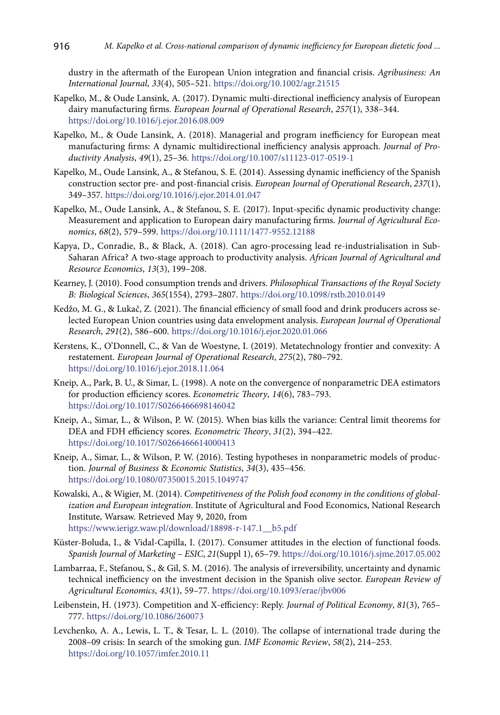dustry in the aftermath of the European Union integration and financial crisis. *Agribusiness: An International Journal*, *33*(4), 505–521. <https://doi.org/10.1002/agr.21515>

- Kapelko, M., & Oude Lansink, A. (2017). Dynamic multi-directional inefficiency analysis of European dairy manufacturing firms. *European Journal of Operational Research*, *257*(1), 338–344. <https://doi.org/10.1016/j.ejor.2016.08.009>
- Kapelko, M., & Oude Lansink, A. (2018). Managerial and program inefficiency for European meat manufacturing firms: A dynamic multidirectional inefficiency analysis approach. *Journal of Productivity Analysis*, *49*(1), 25–36.<https://doi.org/10.1007/s11123-017-0519-1>
- Kapelko, M., Oude Lansink, A., & Stefanou, S. E. (2014). Assessing dynamic inefficiency of the Spanish construction sector pre- and post-financial crisis. *European Journal of Operational Research*, *237*(1), 349–357. <https://doi.org/10.1016/j.ejor.2014.01.047>
- Kapelko, M., Oude Lansink, A., & Stefanou, S. E. (2017). Input‐specific dynamic productivity change: Measurement and application to European dairy manufacturing firms. *Journal of Agricultural Economics*, *68*(2), 579–599. <https://doi.org/10.1111/1477-9552.12188>
- Kapya, D., Conradie, B., & Black, A. (2018). Can agro-processing lead re-industrialisation in Sub-Saharan Africa? A two-stage approach to productivity analysis. *African Journal of Agricultural and Resource Economics*, *13*(3), 199–208.
- Kearney, J. (2010). Food consumption trends and drivers. *Philosophical Transactions of the Royal Society B: Biological Sciences*, *365*(1554), 2793–2807. <https://doi.org/10.1098/rstb.2010.0149>
- Kedžo, M. G., & Lukač, Z. (2021). The financial efficiency of small food and drink producers across selected European Union countries using data envelopment analysis. *European Journal of Operational Research*, *291*(2), 586–600. <https://doi.org/10.1016/j.ejor.2020.01.066>
- Kerstens, K., O'Donnell, C., & Van de Woestyne, I. (2019). Metatechnology frontier and convexity: A restatement. *European Journal of Operational Research*, *275*(2), 780–792. <https://doi.org/10.1016/j.ejor.2018.11.064>
- Kneip, A., Park, B. U., & Simar, L. (1998). A note on the convergence of nonparametric DEA estimators for production efficiency scores. *Econometric Theory*, *14*(6), 783–793. <https://doi.org/10.1017/S0266466698146042>
- Kneip, A., Simar, L., & Wilson, P. W. (2015). When bias kills the variance: Central limit theorems for DEA and FDH efficiency scores. *Econometric Theory*, *31*(2), 394–422. <https://doi.org/10.1017/S0266466614000413>
- Kneip, A., Simar, L., & Wilson, P. W. (2016). Testing hypotheses in nonparametric models of production. *Journal of Business* & *Economic Statistics*, *34*(3), 435–456. <https://doi.org/10.1080/07350015.2015.1049747>
- Kowalski, A., & Wigier, M. (2014). *Competitiveness of the Polish food economy in the conditions of globalization and European integration*. Institute of Agricultural and Food Economics, National Research Institute, Warsaw. Retrieved May 9, 2020, from https://www.ierigz.waw.pl/download/18898-r-147.1\_\_b5.pdf
- Küster-Boluda, I., & Vidal-Capilla, I. (2017). Consumer attitudes in the election of functional foods. *Spanish Journal of Marketing – ESIC*, *21*(Suppl 1), 65–79. <https://doi.org/10.1016/j.sjme.2017.05.002>
- Lambarraa, F., Stefanou, S., & Gil, S. M. (2016). The analysis of irreversibility, uncertainty and dynamic technical inefficiency on the investment decision in the Spanish olive sector. *European Review of Agricultural Economics*, *43*(1), 59–77. <https://doi.org/10.1093/erae/jbv006>
- Leibenstein, H. (1973). Competition and X-efficiency: Reply. *Journal of Political Economy*, *81*(3), 765– 777. <https://doi.org/10.1086/260073>
- Levchenko, A. A., Lewis, L. T., & Tesar, L. L. (2010). The collapse of international trade during the 2008–09 crisis: In search of the smoking gun. *IMF Economic Review*, *58*(2), 214–253. <https://doi.org/10.1057/imfer.2010.11>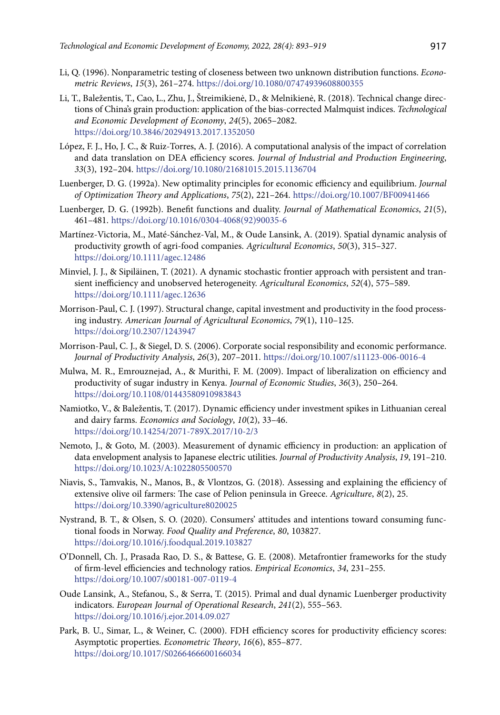- Li, Q. (1996). Nonparametric testing of closeness between two unknown distribution functions. *Econometric Reviews*, *15*(3), 261–274. <https://doi.org/10.1080/07474939608800355>
- Li, T., Baležentis, T., Cao, L., Zhu, J., Štreimikienė, D., & Melnikienė, R. (2018). Technical change directions of China's grain production: application of the bias-corrected Malmquist indices. *Technological and Economic Development of Economy*, *24*(5), 2065–2082. <https://doi.org/10.3846/20294913.2017.1352050>
- López, F. J., Ho, J. C., & Ruiz-Torres, A. J. (2016). A computational analysis of the impact of correlation and data translation on DEA efficiency scores. *Journal of Industrial and Production Engineering*, *33*(3), 192–204. <https://doi.org/10.1080/21681015.2015.1136704>
- Luenberger, D. G. (1992a). New optimality principles for economic efficiency and equilibrium. *Journal of Optimization Theory and Applications*, *75*(2), 221–264. <https://doi.org/10.1007/BF00941466>
- Luenberger, D. G. (1992b). Benefit functions and duality. *Journal of Mathematical Economics*, *21*(5), 461–481. [https://doi.org/10.1016/0304-4068\(92\)90035-6](https://doi.org/10.1016/0304-4068(92)90035-6)
- Martínez-Victoria, M., Maté‐Sánchez-Val, M., & Oude Lansink, A. (2019). Spatial dynamic analysis of productivity growth of agri-food companies. *Agricultural Economics*, *50*(3), 315–327. <https://doi.org/10.1111/agec.12486>
- Minviel, J. J., & Sipiläinen, T. (2021). A dynamic stochastic frontier approach with persistent and transient inefficiency and unobserved heterogeneity. *Agricultural Economics*, *52*(4), 575–589. <https://doi.org/10.1111/agec.12636>
- Morrison-Paul, C. J. (1997). Structural change, capital investment and productivity in the food processing industry. *American Journal of Agricultural Economics*, *79*(1), 110–125. <https://doi.org/10.2307/1243947>
- Morrison-Paul, C. J., & Siegel, D. S. (2006). Corporate social responsibility and economic performance. *Journal of Productivity Analysis*, *26*(3), 207–2011. <https://doi.org/10.1007/s11123-006-0016-4>
- Mulwa, M. R., Emrouznejad, A., & Murithi, F. M. (2009). Impact of liberalization on efficiency and productivity of sugar industry in Kenya. *Journal of Economic Studies*, *36*(3), 250–264. https://doi.org/10.1108/01443580910983843
- Namiotko, V., & Baležentis, T. (2017). Dynamic efficiency under investment spikes in Lithuanian cereal and dairy farms. *Economics and Sociology*, *10*(2), 33–46. <https://doi.org/10.14254/2071-789X.2017/10-2/3>
- Nemoto, J., & Goto, M. (2003). Measurement of dynamic efficiency in production: an application of data envelopment analysis to Japanese electric utilities. *Journal of Productivity Analysis*, *19*, 191–210. <https://doi.org/10.1023/A:1022805500570>
- Niavis, S., Tamvakis, N., Manos, B., & Vlontzos, G. (2018). Assessing and explaining the efficiency of extensive olive oil farmers: The case of Pelion peninsula in Greece. *Agriculture*, *8*(2), 25. <https://doi.org/10.3390/agriculture8020025>
- Nystrand, B. T., & Olsen, S. O. (2020). Consumers' attitudes and intentions toward consuming functional foods in Norway. *Food Quality and Preference*, *80*, 103827. <https://doi.org/10.1016/j.foodqual.2019.103827>
- O'Donnell, Ch. J., Prasada Rao, D. S., & Battese, G. E. (2008). Metafrontier frameworks for the study of firm-level efficiencies and technology ratios. *Empirical Economics*, *34*, 231–255. <https://doi.org/10.1007/s00181-007-0119-4>
- Oude Lansink, A., Stefanou, S., & Serra, T. (2015). Primal and dual dynamic Luenberger productivity indicators. *European Journal of Operational Research*, *241*(2), 555–563. <https://doi.org/10.1016/j.ejor.2014.09.027>
- Park, B. U., Simar, L., & Weiner, C. (2000). FDH efficiency scores for productivity efficiency scores: Asymptotic properties. *Econometric Theory*, *16*(6), 855–877. <https://doi.org/10.1017/S0266466600166034>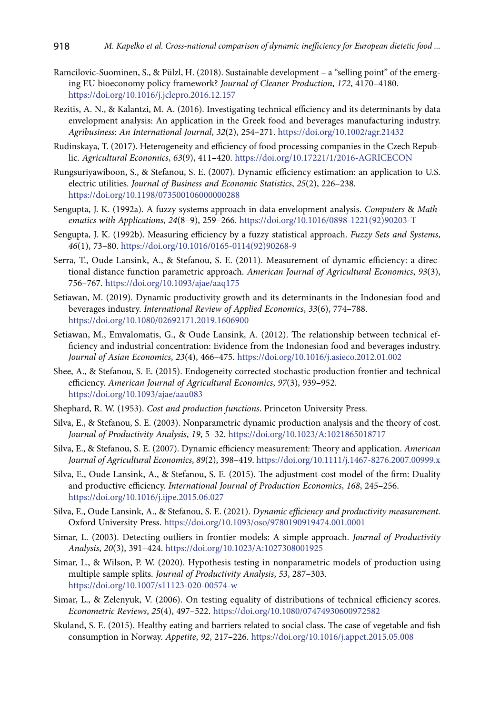- Ramcilovic-Suominen, S., & Pülzl, H. (2018). Sustainable development a "selling point" of the emerging EU bioeconomy policy framework? *Journal of Cleaner Production*, *172*, 4170–4180. <https://doi.org/10.1016/j.jclepro.2016.12.157>
- Rezitis, A. N., & Kalantzi, M. A. (2016). Investigating technical efficiency and its determinants by data envelopment analysis: An application in the Greek food and beverages manufacturing industry. *Agribusiness: An International Journal*, *32*(2), 254–271. <https://doi.org/10.1002/agr.21432>
- Rudinskaya, T. (2017). Heterogeneity and efficiency of food processing companies in the Czech Republic. *Agricultural Economics*, *63*(9), 411–420. <https://doi.org/10.17221/1/2016-AGRICECON>
- Rungsuriyawiboon, S., & Stefanou, S. E. (2007). Dynamic efficiency estimation: an application to U.S. electric utilities. *Journal of Business and Economic Statistics*, *25*(2), 226–238. <https://doi.org/10.1198/073500106000000288>
- Sengupta, J. K. (1992a). A fuzzy systems approach in data envelopment analysis. *Computers* & *Mathematics with Applications*, *24*(8–9), 259–266. [https://doi.org/10.1016/0898-1221\(92\)90203-T](https://doi.org/10.1016/0898-1221(92)90203-T)
- Sengupta, J. K. (1992b). Measuring efficiency by a fuzzy statistical approach. *Fuzzy Sets and Systems*, *46*(1), 73–80. [https://doi.org/10.1016/0165-0114\(92\)90268-9](https://doi.org/10.1016/0165-0114(92)90268-9)
- Serra, T., Oude Lansink, A., & Stefanou, S. E. (2011). Measurement of dynamic efficiency: a directional distance function parametric approach. *American Journal of Agricultural Economics*, *93*(3), 756–767. <https://doi.org/10.1093/ajae/aaq175>
- Setiawan, M. (2019). Dynamic productivity growth and its determinants in the Indonesian food and beverages industry. *International Review of Applied Economics*, *33*(6), 774–788. <https://doi.org/10.1080/02692171.2019.1606900>
- Setiawan, M., Emvalomatis, G., & Oude Lansink, A. (2012). The relationship between technical efficiency and industrial concentration: Evidence from the Indonesian food and beverages industry. *Journal of Asian Economics*, *23*(4), 466–475. <https://doi.org/10.1016/j.asieco.2012.01.002>
- Shee, A., & Stefanou, S. E. (2015). Endogeneity corrected stochastic production frontier and technical efficiency. *American Journal of Agricultural Economics*, *97*(3), 939–952. <https://doi.org/10.1093/ajae/aau083>
- Shephard, R. W. (1953). *Cost and production functions*. Princeton University Press.
- Silva, E., & Stefanou, S. E. (2003). Nonparametric dynamic production analysis and the theory of cost. *Journal of Productivity Analysis*, *19*, 5–32.<https://doi.org/10.1023/A:1021865018717>
- Silva, E., & Stefanou, S. E. (2007). Dynamic efficiency measurement: Theory and application. *American Journal of Agricultural Economics*, *89*(2), 398–419.<https://doi.org/10.1111/j.1467-8276.2007.00999.x>
- Silva, E., Oude Lansink, A., & Stefanou, S. E. (2015). The adjustment-cost model of the firm: Duality and productive efficiency. *International Journal of Production Economics*, *168*, 245–256. <https://doi.org/10.1016/j.ijpe.2015.06.027>
- Silva, E., Oude Lansink, A., & Stefanou, S. E. (2021). *Dynamic efficiency and productivity measurement*. Oxford University Press. <https://doi.org/10.1093/oso/9780190919474.001.0001>
- Simar, L. (2003). Detecting outliers in frontier models: A simple approach. *Journal of Productivity Analysis*, *20*(3), 391–424. <https://doi.org/10.1023/A:1027308001925>
- Simar, L., & Wilson, P. W. (2020). Hypothesis testing in nonparametric models of production using multiple sample splits. *Journal of Productivity Analysis*, *53*, 287–303. <https://doi.org/10.1007/s11123-020-00574-w>
- Simar, L., & Zelenyuk, V. (2006). On testing equality of distributions of technical efficiency scores. *Econometric Reviews*, *25*(4), 497–522. <https://doi.org/10.1080/07474930600972582>
- Skuland, S. E. (2015). Healthy eating and barriers related to social class. The case of vegetable and fish consumption in Norway. *Appetite*, *92*, 217–226. <https://doi.org/10.1016/j.appet.2015.05.008>